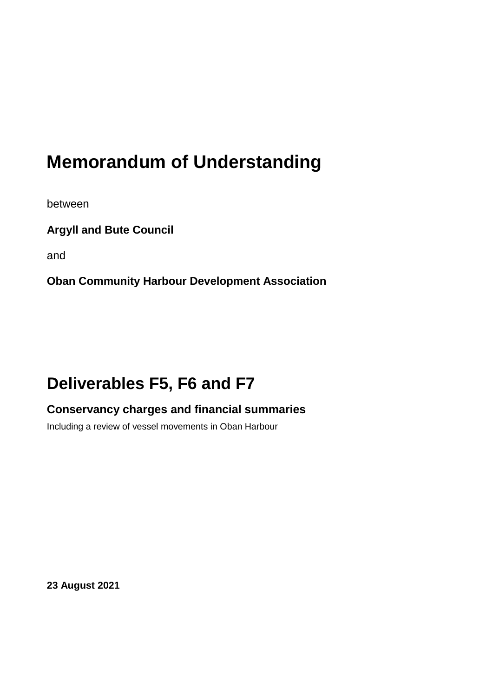# **Memorandum of Understanding**

between

**Argyll and Bute Council**

and

**Oban Community Harbour Development Association**

# **Deliverables F5, F6 and F7**

# **Conservancy charges and financial summaries**

Including a review of vessel movements in Oban Harbour

**23 August 2021**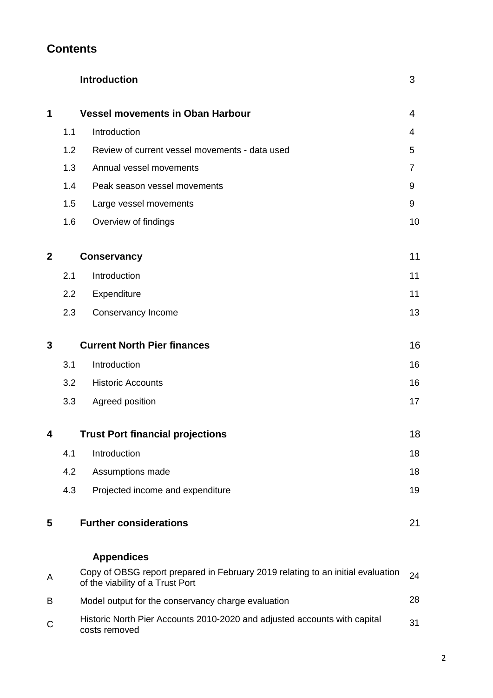## **Contents**

|              |     | <b>Introduction</b>                                                                                                 | 3  |
|--------------|-----|---------------------------------------------------------------------------------------------------------------------|----|
| 1            |     | <b>Vessel movements in Oban Harbour</b>                                                                             | 4  |
|              | 1.1 | Introduction                                                                                                        | 4  |
|              | 1.2 | Review of current vessel movements - data used                                                                      | 5  |
|              | 1.3 | Annual vessel movements                                                                                             | 7  |
|              | 1.4 | Peak season vessel movements                                                                                        | 9  |
|              | 1.5 | Large vessel movements                                                                                              | 9  |
|              | 1.6 | Overview of findings                                                                                                | 10 |
| $\mathbf{2}$ |     | <b>Conservancy</b>                                                                                                  | 11 |
|              | 2.1 | Introduction                                                                                                        | 11 |
|              | 2.2 | Expenditure                                                                                                         | 11 |
|              | 2.3 | Conservancy Income                                                                                                  | 13 |
| 3            |     | <b>Current North Pier finances</b>                                                                                  | 16 |
|              | 3.1 | Introduction                                                                                                        | 16 |
|              | 3.2 | <b>Historic Accounts</b>                                                                                            | 16 |
|              | 3.3 | Agreed position                                                                                                     | 17 |
| 4            |     | <b>Trust Port financial projections</b>                                                                             | 18 |
|              | 4.1 | Introduction                                                                                                        | 18 |
|              | 4.2 | Assumptions made                                                                                                    | 18 |
|              | 4.3 | Projected income and expenditure                                                                                    | 19 |
| 5            |     | <b>Further considerations</b>                                                                                       | 21 |
|              |     | <b>Appendices</b>                                                                                                   |    |
| Α            |     | Copy of OBSG report prepared in February 2019 relating to an initial evaluation<br>of the viability of a Trust Port | 24 |
| B            |     | Model output for the conservancy charge evaluation                                                                  | 28 |
| С            |     | Historic North Pier Accounts 2010-2020 and adjusted accounts with capital<br>costs removed                          | 31 |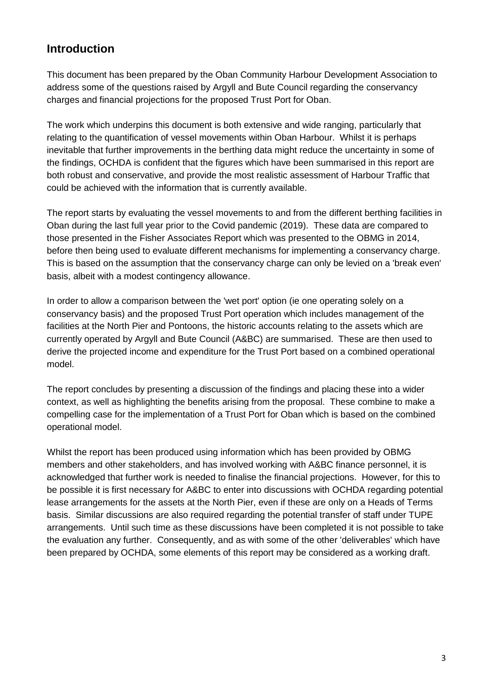## **Introduction**

This document has been prepared by the Oban Community Harbour Development Association to address some of the questions raised by Argyll and Bute Council regarding the conservancy charges and financial projections for the proposed Trust Port for Oban.

The work which underpins this document is both extensive and wide ranging, particularly that relating to the quantification of vessel movements within Oban Harbour. Whilst it is perhaps inevitable that further improvements in the berthing data might reduce the uncertainty in some of the findings, OCHDA is confident that the figures which have been summarised in this report are both robust and conservative, and provide the most realistic assessment of Harbour Traffic that could be achieved with the information that is currently available.

The report starts by evaluating the vessel movements to and from the different berthing facilities in Oban during the last full year prior to the Covid pandemic (2019). These data are compared to those presented in the Fisher Associates Report which was presented to the OBMG in 2014, before then being used to evaluate different mechanisms for implementing a conservancy charge. This is based on the assumption that the conservancy charge can only be levied on a 'break even' basis, albeit with a modest contingency allowance.

In order to allow a comparison between the 'wet port' option (ie one operating solely on a conservancy basis) and the proposed Trust Port operation which includes management of the facilities at the North Pier and Pontoons, the historic accounts relating to the assets which are currently operated by Argyll and Bute Council (A&BC) are summarised. These are then used to derive the projected income and expenditure for the Trust Port based on a combined operational model.

The report concludes by presenting a discussion of the findings and placing these into a wider context, as well as highlighting the benefits arising from the proposal. These combine to make a compelling case for the implementation of a Trust Port for Oban which is based on the combined operational model.

Whilst the report has been produced using information which has been provided by OBMG members and other stakeholders, and has involved working with A&BC finance personnel, it is acknowledged that further work is needed to finalise the financial projections. However, for this to be possible it is first necessary for A&BC to enter into discussions with OCHDA regarding potential lease arrangements for the assets at the North Pier, even if these are only on a Heads of Terms basis. Similar discussions are also required regarding the potential transfer of staff under TUPE arrangements. Until such time as these discussions have been completed it is not possible to take the evaluation any further. Consequently, and as with some of the other 'deliverables' which have been prepared by OCHDA, some elements of this report may be considered as a working draft.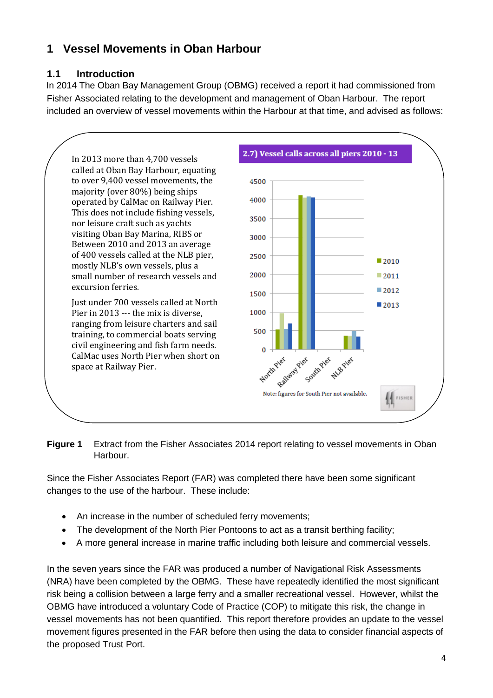# **1 Vessel Movements in Oban Harbour**

## **1.1 Introduction**

In 2014 The Oban Bay Management Group (OBMG) received a report it had commissioned from Fisher Associated relating to the development and management of Oban Harbour. The report included an overview of vessel movements within the Harbour at that time, and advised as follows:



#### **Figure 1** Extract from the Fisher Associates 2014 report relating to vessel movements in Oban Harbour.

Since the Fisher Associates Report (FAR) was completed there have been some significant changes to the use of the harbour. These include:

- An increase in the number of scheduled ferry movements;
- The development of the North Pier Pontoons to act as a transit berthing facility;
- A more general increase in marine traffic including both leisure and commercial vessels.

In the seven years since the FAR was produced a number of Navigational Risk Assessments (NRA) have been completed by the OBMG. These have repeatedly identified the most significant risk being a collision between a large ferry and a smaller recreational vessel. However, whilst the OBMG have introduced a voluntary Code of Practice (COP) to mitigate this risk, the change in vessel movements has not been quantified. This report therefore provides an update to the vessel movement figures presented in the FAR before then using the data to consider financial aspects of the proposed Trust Port.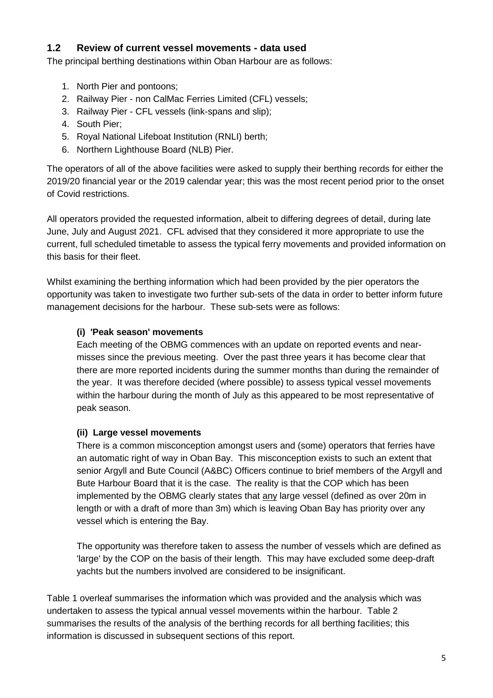#### **1.2 Review of current vessel movements - data used**

The principal berthing destinations within Oban Harbour are as follows:

- 1. North Pier and pontoons;
- 2. Railway Pier non CalMac Ferries Limited (CFL) vessels;
- 3. Railway Pier CFL vessels (link-spans and slip);
- 4. South Pier;
- 5. Royal National Lifeboat Institution (RNLI) berth;
- 6. Northern Lighthouse Board (NLB) Pier.

The operators of all of the above facilities were asked to supply their berthing records for either the 2019/20 financial year or the 2019 calendar year; this was the most recent period prior to the onset of Covid restrictions.

All operators provided the requested information, albeit to differing degrees of detail, during late June, July and August 2021. CFL advised that they considered it more appropriate to use the current, full scheduled timetable to assess the typical ferry movements and provided information on this basis for their fleet.

Whilst examining the berthing information which had been provided by the pier operators the opportunity was taken to investigate two further sub-sets of the data in order to better inform future management decisions for the harbour. These sub-sets were as follows:

#### **(i) 'Peak season' movements**

Each meeting of the OBMG commences with an update on reported events and nearmisses since the previous meeting. Over the past three years it has become clear that there are more reported incidents during the summer months than during the remainder of the year. It was therefore decided (where possible) to assess typical vessel movements within the harbour during the month of July as this appeared to be most representative of peak season.

#### **(ii) Large vessel movements**

There is a common misconception amongst users and (some) operators that ferries have an automatic right of way in Oban Bay. This misconception exists to such an extent that senior Argyll and Bute Council (A&BC) Officers continue to brief members of the Argyll and Bute Harbour Board that it is the case. The reality is that the COP which has been implemented by the OBMG clearly states that any large vessel (defined as over 20m in length or with a draft of more than 3m) which is leaving Oban Bay has priority over any vessel which is entering the Bay.

The opportunity was therefore taken to assess the number of vessels which are defined as 'large' by the COP on the basis of their length. This may have excluded some deep-draft yachts but the numbers involved are considered to be insignificant.

Table 1 overleaf summarises the information which was provided and the analysis which was undertaken to assess the typical annual vessel movements within the harbour. Table 2 summarises the results of the analysis of the berthing records for all berthing facilities; this information is discussed in subsequent sections of this report.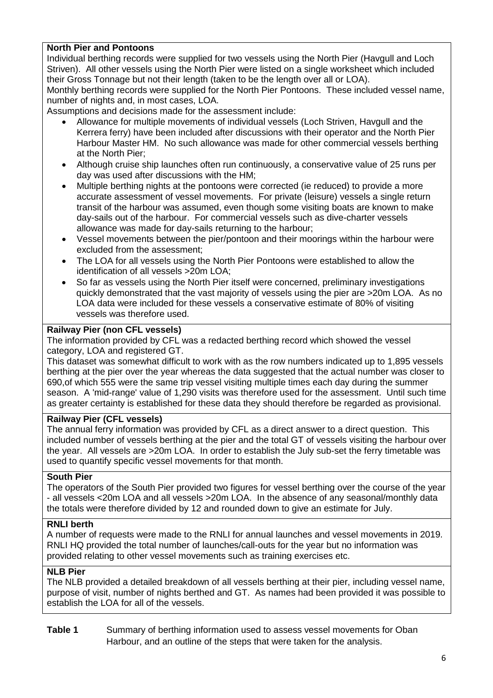#### **North Pier and Pontoons**

Individual berthing records were supplied for two vessels using the North Pier (Havgull and Loch Striven). All other vessels using the North Pier were listed on a single worksheet which included their Gross Tonnage but not their length (taken to be the length over all or LOA).

Monthly berthing records were supplied for the North Pier Pontoons. These included vessel name, number of nights and, in most cases, LOA.

Assumptions and decisions made for the assessment include:

- Allowance for multiple movements of individual vessels (Loch Striven, Havgull and the Kerrera ferry) have been included after discussions with their operator and the North Pier Harbour Master HM. No such allowance was made for other commercial vessels berthing at the North Pier;
- Although cruise ship launches often run continuously, a conservative value of 25 runs per day was used after discussions with the HM;
- Multiple berthing nights at the pontoons were corrected (ie reduced) to provide a more accurate assessment of vessel movements. For private (leisure) vessels a single return transit of the harbour was assumed, even though some visiting boats are known to make day-sails out of the harbour. For commercial vessels such as dive-charter vessels allowance was made for day-sails returning to the harbour;
- Vessel movements between the pier/pontoon and their moorings within the harbour were excluded from the assessment;
- The LOA for all vessels using the North Pier Pontoons were established to allow the identification of all vessels >20m LOA;
- So far as vessels using the North Pier itself were concerned, preliminary investigations quickly demonstrated that the vast majority of vessels using the pier are >20m LOA. As no LOA data were included for these vessels a conservative estimate of 80% of visiting vessels was therefore used.

#### **Railway Pier (non CFL vessels)**

The information provided by CFL was a redacted berthing record which showed the vessel category, LOA and registered GT.

This dataset was somewhat difficult to work with as the row numbers indicated up to 1,895 vessels berthing at the pier over the year whereas the data suggested that the actual number was closer to 690,of which 555 were the same trip vessel visiting multiple times each day during the summer season. A 'mid-range' value of 1,290 visits was therefore used for the assessment. Until such time as greater certainty is established for these data they should therefore be regarded as provisional.

#### **Railway Pier (CFL vessels)**

The annual ferry information was provided by CFL as a direct answer to a direct question. This included number of vessels berthing at the pier and the total GT of vessels visiting the harbour over the year. All vessels are >20m LOA. In order to establish the July sub-set the ferry timetable was used to quantify specific vessel movements for that month.

#### **South Pier**

The operators of the South Pier provided two figures for vessel berthing over the course of the year - all vessels <20m LOA and all vessels >20m LOA. In the absence of any seasonal/monthly data the totals were therefore divided by 12 and rounded down to give an estimate for July.

#### **RNLI berth**

A number of requests were made to the RNLI for annual launches and vessel movements in 2019. RNLI HQ provided the total number of launches/call-outs for the year but no information was provided relating to other vessel movements such as training exercises etc.

#### **NLB Pier**

The NLB provided a detailed breakdown of all vessels berthing at their pier, including vessel name, purpose of visit, number of nights berthed and GT. As names had been provided it was possible to establish the LOA for all of the vessels.

**Table 1** Summary of berthing information used to assess vessel movements for Oban Harbour, and an outline of the steps that were taken for the analysis.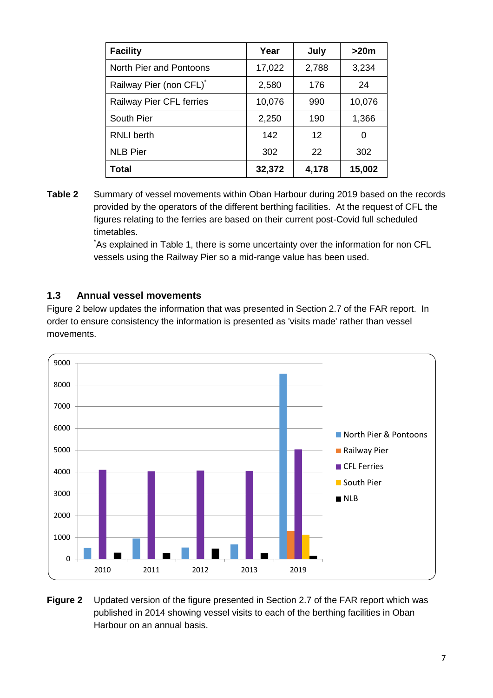| <b>Facility</b>                     | Year   | July  | >20m   |
|-------------------------------------|--------|-------|--------|
| North Pier and Pontoons             | 17,022 | 2,788 | 3,234  |
| Railway Pier (non CFL) <sup>*</sup> | 2,580  | 176   | 24     |
| <b>Railway Pier CFL ferries</b>     | 10,076 | 990   | 10,076 |
| South Pier                          | 2,250  | 190   | 1,366  |
| <b>RNLI</b> berth                   | 142    | 12    | 0      |
| <b>NLB Pier</b>                     | 302    | 22    | 302    |
| <b>Total</b>                        | 32,372 | 4,178 | 15,002 |

**Table 2** Summary of vessel movements within Oban Harbour during 2019 based on the records provided by the operators of the different berthing facilities. At the request of CFL the figures relating to the ferries are based on their current post-Covid full scheduled timetables.

> \*As explained in Table 1, there is some uncertainty over the information for non CFL vessels using the Railway Pier so a mid-range value has been used.

## **1.3 Annual vessel movements**

Figure 2 below updates the information that was presented in Section 2.7 of the FAR report. In order to ensure consistency the information is presented as 'visits made' rather than vessel movements.



**Figure 2** Updated version of the figure presented in Section 2.7 of the FAR report which was published in 2014 showing vessel visits to each of the berthing facilities in Oban Harbour on an annual basis.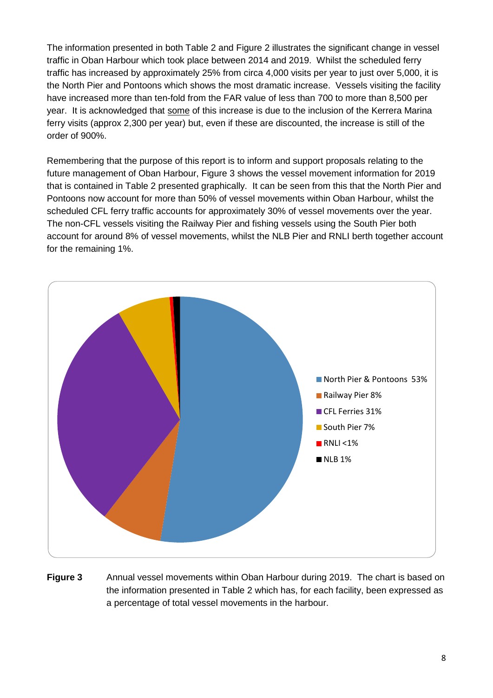The information presented in both Table 2 and Figure 2 illustrates the significant change in vessel traffic in Oban Harbour which took place between 2014 and 2019. Whilst the scheduled ferry traffic has increased by approximately 25% from circa 4,000 visits per year to just over 5,000, it is the North Pier and Pontoons which shows the most dramatic increase. Vessels visiting the facility have increased more than ten-fold from the FAR value of less than 700 to more than 8,500 per year. It is acknowledged that some of this increase is due to the inclusion of the Kerrera Marina ferry visits (approx 2,300 per year) but, even if these are discounted, the increase is still of the order of 900%.

Remembering that the purpose of this report is to inform and support proposals relating to the future management of Oban Harbour, Figure 3 shows the vessel movement information for 2019 that is contained in Table 2 presented graphically. It can be seen from this that the North Pier and Pontoons now account for more than 50% of vessel movements within Oban Harbour, whilst the scheduled CFL ferry traffic accounts for approximately 30% of vessel movements over the year. The non-CFL vessels visiting the Railway Pier and fishing vessels using the South Pier both account for around 8% of vessel movements, whilst the NLB Pier and RNLI berth together account for the remaining 1%.



**Figure 3** Annual vessel movements within Oban Harbour during 2019. The chart is based on the information presented in Table 2 which has, for each facility, been expressed as a percentage of total vessel movements in the harbour.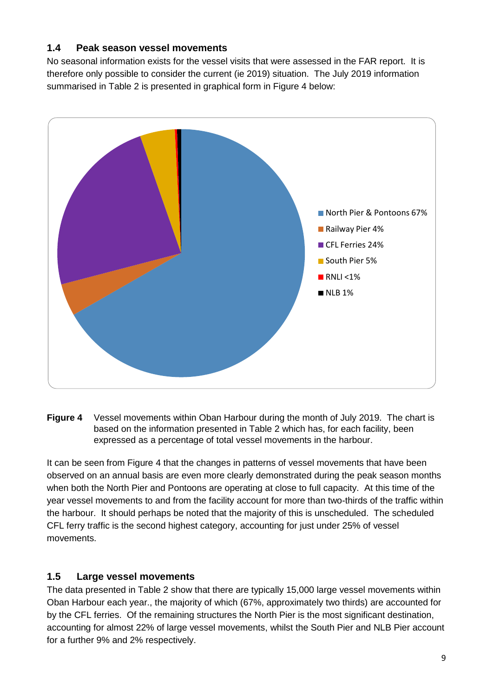#### **1.4 Peak season vessel movements**

No seasonal information exists for the vessel visits that were assessed in the FAR report. It is therefore only possible to consider the current (ie 2019) situation. The July 2019 information summarised in Table 2 is presented in graphical form in Figure 4 below:



**Figure 4** Vessel movements within Oban Harbour during the month of July 2019. The chart is based on the information presented in Table 2 which has, for each facility, been expressed as a percentage of total vessel movements in the harbour.

It can be seen from Figure 4 that the changes in patterns of vessel movements that have been observed on an annual basis are even more clearly demonstrated during the peak season months when both the North Pier and Pontoons are operating at close to full capacity. At this time of the year vessel movements to and from the facility account for more than two-thirds of the traffic within the harbour. It should perhaps be noted that the majority of this is unscheduled. The scheduled CFL ferry traffic is the second highest category, accounting for just under 25% of vessel movements.

## **1.5 Large vessel movements**

The data presented in Table 2 show that there are typically 15,000 large vessel movements within Oban Harbour each year., the majority of which (67%, approximately two thirds) are accounted for by the CFL ferries. Of the remaining structures the North Pier is the most significant destination, accounting for almost 22% of large vessel movements, whilst the South Pier and NLB Pier account for a further 9% and 2% respectively.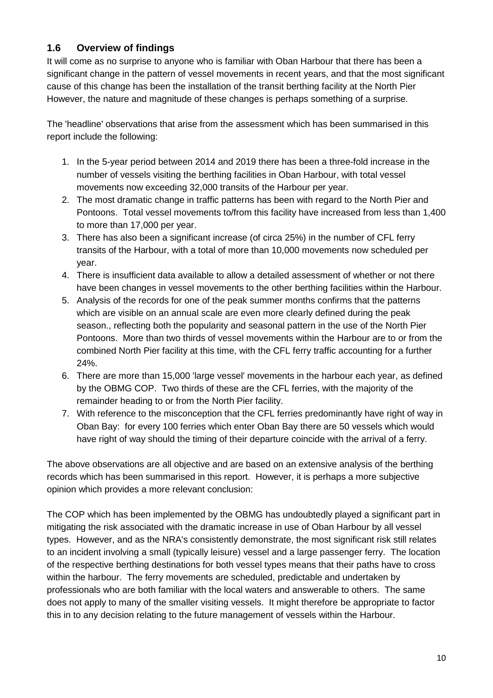### **1.6 Overview of findings**

It will come as no surprise to anyone who is familiar with Oban Harbour that there has been a significant change in the pattern of vessel movements in recent years, and that the most significant cause of this change has been the installation of the transit berthing facility at the North Pier However, the nature and magnitude of these changes is perhaps something of a surprise.

The 'headline' observations that arise from the assessment which has been summarised in this report include the following:

- 1. In the 5-year period between 2014 and 2019 there has been a three-fold increase in the number of vessels visiting the berthing facilities in Oban Harbour, with total vessel movements now exceeding 32,000 transits of the Harbour per year.
- 2. The most dramatic change in traffic patterns has been with regard to the North Pier and Pontoons. Total vessel movements to/from this facility have increased from less than 1,400 to more than 17,000 per year.
- 3. There has also been a significant increase (of circa 25%) in the number of CFL ferry transits of the Harbour, with a total of more than 10,000 movements now scheduled per year.
- 4. There is insufficient data available to allow a detailed assessment of whether or not there have been changes in vessel movements to the other berthing facilities within the Harbour.
- 5. Analysis of the records for one of the peak summer months confirms that the patterns which are visible on an annual scale are even more clearly defined during the peak season., reflecting both the popularity and seasonal pattern in the use of the North Pier Pontoons. More than two thirds of vessel movements within the Harbour are to or from the combined North Pier facility at this time, with the CFL ferry traffic accounting for a further 24%.
- 6. There are more than 15,000 'large vessel' movements in the harbour each year, as defined by the OBMG COP. Two thirds of these are the CFL ferries, with the majority of the remainder heading to or from the North Pier facility.
- 7. With reference to the misconception that the CFL ferries predominantly have right of way in Oban Bay: for every 100 ferries which enter Oban Bay there are 50 vessels which would have right of way should the timing of their departure coincide with the arrival of a ferry.

The above observations are all objective and are based on an extensive analysis of the berthing records which has been summarised in this report. However, it is perhaps a more subjective opinion which provides a more relevant conclusion:

The COP which has been implemented by the OBMG has undoubtedly played a significant part in mitigating the risk associated with the dramatic increase in use of Oban Harbour by all vessel types. However, and as the NRA's consistently demonstrate, the most significant risk still relates to an incident involving a small (typically leisure) vessel and a large passenger ferry. The location of the respective berthing destinations for both vessel types means that their paths have to cross within the harbour. The ferry movements are scheduled, predictable and undertaken by professionals who are both familiar with the local waters and answerable to others. The same does not apply to many of the smaller visiting vessels. It might therefore be appropriate to factor this in to any decision relating to the future management of vessels within the Harbour.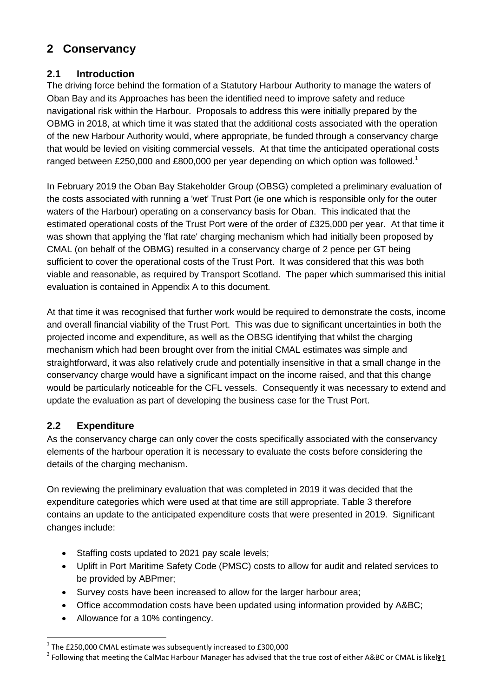# **2 Conservancy**

## **2.1 Introduction**

The driving force behind the formation of a Statutory Harbour Authority to manage the waters of Oban Bay and its Approaches has been the identified need to improve safety and reduce navigational risk within the Harbour. Proposals to address this were initially prepared by the OBMG in 2018, at which time it was stated that the additional costs associated with the operation of the new Harbour Authority would, where appropriate, be funded through a conservancy charge that would be levied on visiting commercial vessels. At that time the anticipated operational costs ranged between £250,000 and £800,000 per year depending on which option was followed.<sup>1</sup>

In February 2019 the Oban Bay Stakeholder Group (OBSG) completed a preliminary evaluation of the costs associated with running a 'wet' Trust Port (ie one which is responsible only for the outer waters of the Harbour) operating on a conservancy basis for Oban. This indicated that the estimated operational costs of the Trust Port were of the order of £325,000 per year. At that time it was shown that applying the 'flat rate' charging mechanism which had initially been proposed by CMAL (on behalf of the OBMG) resulted in a conservancy charge of 2 pence per GT being sufficient to cover the operational costs of the Trust Port. It was considered that this was both viable and reasonable, as required by Transport Scotland. The paper which summarised this initial evaluation is contained in Appendix A to this document.

At that time it was recognised that further work would be required to demonstrate the costs, income and overall financial viability of the Trust Port. This was due to significant uncertainties in both the projected income and expenditure, as well as the OBSG identifying that whilst the charging mechanism which had been brought over from the initial CMAL estimates was simple and straightforward, it was also relatively crude and potentially insensitive in that a small change in the conservancy charge would have a significant impact on the income raised, and that this change would be particularly noticeable for the CFL vessels. Consequently it was necessary to extend and update the evaluation as part of developing the business case for the Trust Port.

#### **2.2 Expenditure**

 $\overline{a}$ 

As the conservancy charge can only cover the costs specifically associated with the conservancy elements of the harbour operation it is necessary to evaluate the costs before considering the details of the charging mechanism.

On reviewing the preliminary evaluation that was completed in 2019 it was decided that the expenditure categories which were used at that time are still appropriate. Table 3 therefore contains an update to the anticipated expenditure costs that were presented in 2019. Significant changes include:

- Staffing costs updated to 2021 pay scale levels;
- Uplift in Port Maritime Safety Code (PMSC) costs to allow for audit and related services to be provided by ABPmer;
- Survey costs have been increased to allow for the larger harbour area;
- Office accommodation costs have been updated using information provided by A&BC;
- Allowance for a 10% contingency.

 $1$  The £250,000 CMAL estimate was subsequently increased to £300,000

<sup>&</sup>lt;sup>2</sup> Following that meeting the CalMac Harbour Manager has advised that the true cost of either A&BC or CMAL is likel $\psi$ 1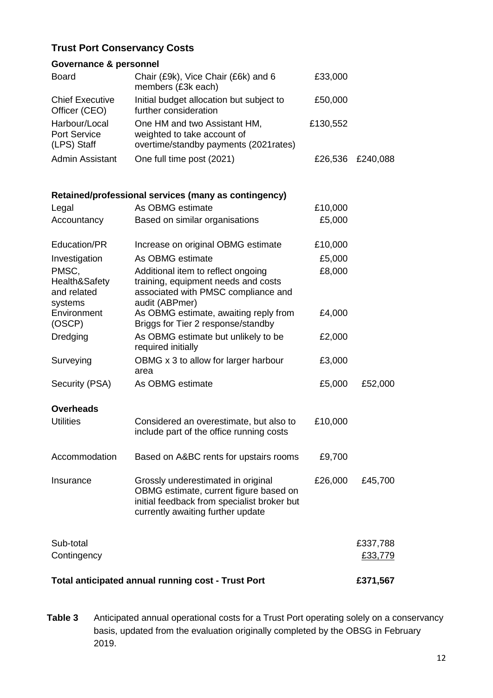## **Trust Port Conservancy Costs**

#### **Governance & personnel**

| <b>Board</b>                                 | Chair (£9k), Vice Chair (£6k) and 6<br>members (£3k each)                                            | £33,000  |          |
|----------------------------------------------|------------------------------------------------------------------------------------------------------|----------|----------|
| <b>Chief Executive</b><br>Officer (CEO)      | Initial budget allocation but subject to<br>further consideration                                    | £50,000  |          |
| Harbour/Local<br>Port Service<br>(LPS) Staff | One HM and two Assistant HM,<br>weighted to take account of<br>overtime/standby payments (2021rates) | £130,552 |          |
| <b>Admin Assistant</b>                       | One full time post (2021)                                                                            | £26,536  | £240,088 |

#### **Retained/professional services (many as contingency)**

| Legal                                            | As OBMG estimate                                                                                                                                                 | £10,000 |                     |
|--------------------------------------------------|------------------------------------------------------------------------------------------------------------------------------------------------------------------|---------|---------------------|
| Accountancy                                      | Based on similar organisations                                                                                                                                   | £5,000  |                     |
| Education/PR                                     | Increase on original OBMG estimate                                                                                                                               | £10,000 |                     |
| Investigation                                    | As OBMG estimate                                                                                                                                                 | £5,000  |                     |
| PMSC,<br>Health&Safety<br>and related<br>systems | Additional item to reflect ongoing<br>training, equipment needs and costs<br>associated with PMSC compliance and<br>audit (ABPmer)                               | £8,000  |                     |
| Environment<br>(OSCP)                            | As OBMG estimate, awaiting reply from<br>Briggs for Tier 2 response/standby                                                                                      | £4,000  |                     |
| Dredging                                         | As OBMG estimate but unlikely to be<br>required initially                                                                                                        | £2,000  |                     |
| Surveying                                        | OBMG x 3 to allow for larger harbour<br>area                                                                                                                     | £3,000  |                     |
| Security (PSA)                                   | As OBMG estimate                                                                                                                                                 | £5,000  | £52,000             |
| <b>Overheads</b>                                 |                                                                                                                                                                  |         |                     |
| <b>Utilities</b>                                 | Considered an overestimate, but also to<br>include part of the office running costs                                                                              | £10,000 |                     |
| Accommodation                                    | Based on A&BC rents for upstairs rooms                                                                                                                           | £9,700  |                     |
| Insurance                                        | Grossly underestimated in original<br>OBMG estimate, current figure based on<br>initial feedback from specialist broker but<br>currently awaiting further update | £26,000 | £45,700             |
| Sub-total<br>Contingency                         |                                                                                                                                                                  |         | £337,788<br>£33,779 |
|                                                  | <b>Total anticipated annual running cost - Trust Port</b>                                                                                                        |         | £371,567            |

**Table 3** Anticipated annual operational costs for a Trust Port operating solely on a conservancy basis, updated from the evaluation originally completed by the OBSG in February 2019.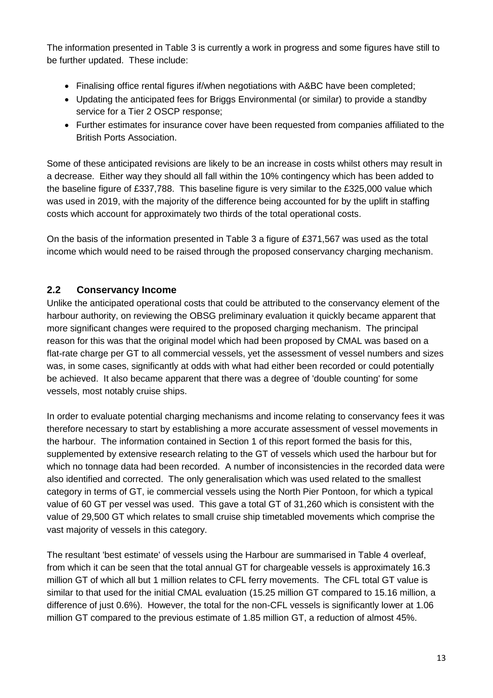The information presented in Table 3 is currently a work in progress and some figures have still to be further updated. These include:

- Finalising office rental figures if/when negotiations with A&BC have been completed;
- Updating the anticipated fees for Briggs Environmental (or similar) to provide a standby service for a Tier 2 OSCP response;
- Further estimates for insurance cover have been requested from companies affiliated to the British Ports Association.

Some of these anticipated revisions are likely to be an increase in costs whilst others may result in a decrease. Either way they should all fall within the 10% contingency which has been added to the baseline figure of £337,788. This baseline figure is very similar to the £325,000 value which was used in 2019, with the majority of the difference being accounted for by the uplift in staffing costs which account for approximately two thirds of the total operational costs.

On the basis of the information presented in Table 3 a figure of £371,567 was used as the total income which would need to be raised through the proposed conservancy charging mechanism.

#### **2.2 Conservancy Income**

Unlike the anticipated operational costs that could be attributed to the conservancy element of the harbour authority, on reviewing the OBSG preliminary evaluation it quickly became apparent that more significant changes were required to the proposed charging mechanism. The principal reason for this was that the original model which had been proposed by CMAL was based on a flat-rate charge per GT to all commercial vessels, yet the assessment of vessel numbers and sizes was, in some cases, significantly at odds with what had either been recorded or could potentially be achieved. It also became apparent that there was a degree of 'double counting' for some vessels, most notably cruise ships.

In order to evaluate potential charging mechanisms and income relating to conservancy fees it was therefore necessary to start by establishing a more accurate assessment of vessel movements in the harbour. The information contained in Section 1 of this report formed the basis for this, supplemented by extensive research relating to the GT of vessels which used the harbour but for which no tonnage data had been recorded. A number of inconsistencies in the recorded data were also identified and corrected. The only generalisation which was used related to the smallest category in terms of GT, ie commercial vessels using the North Pier Pontoon, for which a typical value of 60 GT per vessel was used. This gave a total GT of 31,260 which is consistent with the value of 29,500 GT which relates to small cruise ship timetabled movements which comprise the vast majority of vessels in this category.

The resultant 'best estimate' of vessels using the Harbour are summarised in Table 4 overleaf, from which it can be seen that the total annual GT for chargeable vessels is approximately 16.3 million GT of which all but 1 million relates to CFL ferry movements. The CFL total GT value is similar to that used for the initial CMAL evaluation (15.25 million GT compared to 15.16 million, a difference of just 0.6%). However, the total for the non-CFL vessels is significantly lower at 1.06 million GT compared to the previous estimate of 1.85 million GT, a reduction of almost 45%.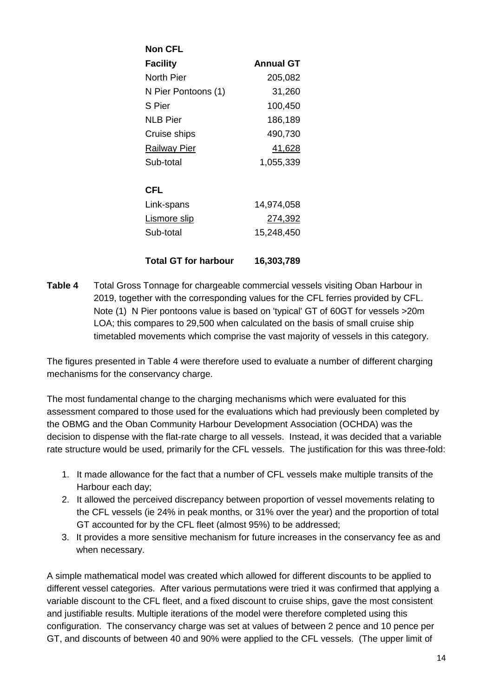| <b>Non CFL</b>              |                  |
|-----------------------------|------------------|
| <b>Facility</b>             | <b>Annual GT</b> |
| North Pier                  | 205,082          |
| N Pier Pontoons (1)         | 31,260           |
| S Pier                      | 100,450          |
| <b>NLB Pier</b>             | 186,189          |
| Cruise ships                | 490,730          |
| <b>Railway Pier</b>         | 41,628           |
| Sub-total                   | 1,055,339        |
|                             |                  |
| CFL                         |                  |
| Link-spans                  | 14,974,058       |
| <u>Lismore slip</u>         | <u>274,392</u>   |
| Sub-total                   | 15,248,450       |
| <b>Total GT for harbour</b> | 16,303,789       |

**Table 4** Total Gross Tonnage for chargeable commercial vessels visiting Oban Harbour in 2019, together with the corresponding values for the CFL ferries provided by CFL. Note (1) N Pier pontoons value is based on 'typical' GT of 60GT for vessels >20m LOA; this compares to 29,500 when calculated on the basis of small cruise ship timetabled movements which comprise the vast majority of vessels in this category.

The figures presented in Table 4 were therefore used to evaluate a number of different charging mechanisms for the conservancy charge.

The most fundamental change to the charging mechanisms which were evaluated for this assessment compared to those used for the evaluations which had previously been completed by the OBMG and the Oban Community Harbour Development Association (OCHDA) was the decision to dispense with the flat-rate charge to all vessels. Instead, it was decided that a variable rate structure would be used, primarily for the CFL vessels. The justification for this was three-fold:

- 1. It made allowance for the fact that a number of CFL vessels make multiple transits of the Harbour each day;
- 2. It allowed the perceived discrepancy between proportion of vessel movements relating to the CFL vessels (ie 24% in peak months, or 31% over the year) and the proportion of total GT accounted for by the CFL fleet (almost 95%) to be addressed;
- 3. It provides a more sensitive mechanism for future increases in the conservancy fee as and when necessary.

A simple mathematical model was created which allowed for different discounts to be applied to different vessel categories. After various permutations were tried it was confirmed that applying a variable discount to the CFL fleet, and a fixed discount to cruise ships, gave the most consistent and justifiable results. Multiple iterations of the model were therefore completed using this configuration. The conservancy charge was set at values of between 2 pence and 10 pence per GT, and discounts of between 40 and 90% were applied to the CFL vessels. (The upper limit of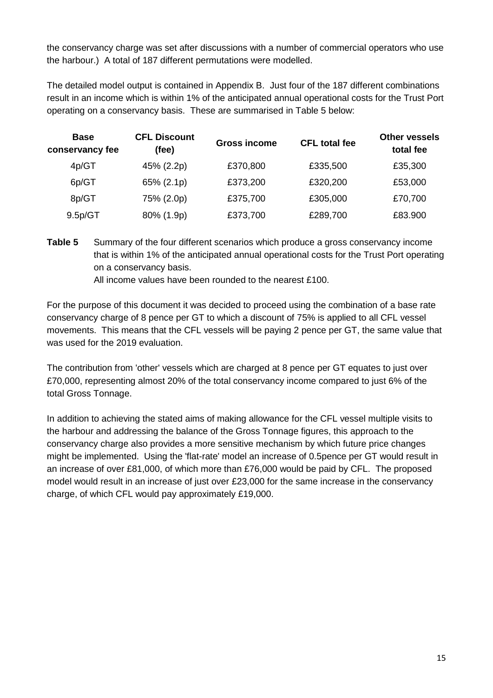the conservancy charge was set after discussions with a number of commercial operators who use the harbour.) A total of 187 different permutations were modelled.

The detailed model output is contained in Appendix B. Just four of the 187 different combinations result in an income which is within 1% of the anticipated annual operational costs for the Trust Port operating on a conservancy basis. These are summarised in Table 5 below:

| <b>Base</b><br>conservancy fee | <b>CFL Discount</b><br>(fee) | <b>Gross income</b> | <b>CFL total fee</b> | <b>Other vessels</b><br>total fee |
|--------------------------------|------------------------------|---------------------|----------------------|-----------------------------------|
| 4p/GT                          | 45% (2.2p)                   | £370,800            | £335,500             | £35,300                           |
| 6p/GT                          | 65% (2.1p)                   | £373,200            | £320,200             | £53,000                           |
| 8p/GT                          | 75% (2.0p)                   | £375,700            | £305,000             | £70,700                           |
| 9.5p/GT                        | 80% (1.9p)                   | £373,700            | £289,700             | £83.900                           |

**Table 5** Summary of the four different scenarios which produce a gross conservancy income that is within 1% of the anticipated annual operational costs for the Trust Port operating on a conservancy basis.

All income values have been rounded to the nearest £100.

For the purpose of this document it was decided to proceed using the combination of a base rate conservancy charge of 8 pence per GT to which a discount of 75% is applied to all CFL vessel movements. This means that the CFL vessels will be paying 2 pence per GT, the same value that was used for the 2019 evaluation.

The contribution from 'other' vessels which are charged at 8 pence per GT equates to just over £70,000, representing almost 20% of the total conservancy income compared to just 6% of the total Gross Tonnage.

In addition to achieving the stated aims of making allowance for the CFL vessel multiple visits to the harbour and addressing the balance of the Gross Tonnage figures, this approach to the conservancy charge also provides a more sensitive mechanism by which future price changes might be implemented. Using the 'flat-rate' model an increase of 0.5pence per GT would result in an increase of over £81,000, of which more than £76,000 would be paid by CFL. The proposed model would result in an increase of just over £23,000 for the same increase in the conservancy charge, of which CFL would pay approximately £19,000.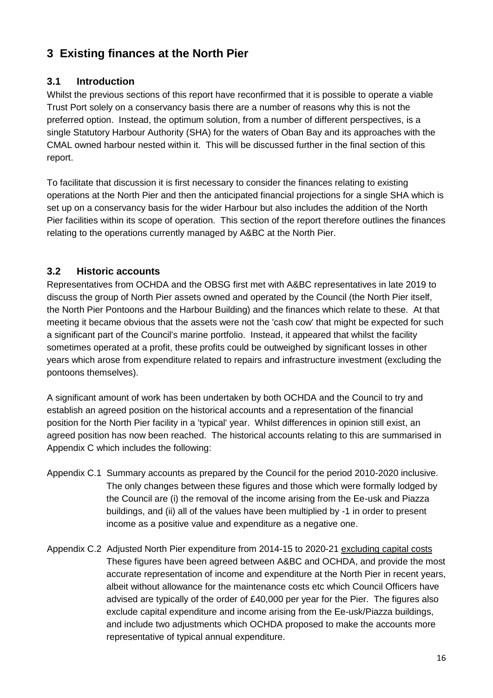# **3 Existing finances at the North Pier**

## **3.1 Introduction**

Whilst the previous sections of this report have reconfirmed that it is possible to operate a viable Trust Port solely on a conservancy basis there are a number of reasons why this is not the preferred option. Instead, the optimum solution, from a number of different perspectives, is a single Statutory Harbour Authority (SHA) for the waters of Oban Bay and its approaches with the CMAL owned harbour nested within it. This will be discussed further in the final section of this report.

To facilitate that discussion it is first necessary to consider the finances relating to existing operations at the North Pier and then the anticipated financial projections for a single SHA which is set up on a conservancy basis for the wider Harbour but also includes the addition of the North Pier facilities within its scope of operation. This section of the report therefore outlines the finances relating to the operations currently managed by A&BC at the North Pier.

## **3.2 Historic accounts**

Representatives from OCHDA and the OBSG first met with A&BC representatives in late 2019 to discuss the group of North Pier assets owned and operated by the Council (the North Pier itself, the North Pier Pontoons and the Harbour Building) and the finances which relate to these. At that meeting it became obvious that the assets were not the 'cash cow' that might be expected for such a significant part of the Council's marine portfolio. Instead, it appeared that whilst the facility sometimes operated at a profit, these profits could be outweighed by significant losses in other years which arose from expenditure related to repairs and infrastructure investment (excluding the pontoons themselves).

A significant amount of work has been undertaken by both OCHDA and the Council to try and establish an agreed position on the historical accounts and a representation of the financial position for the North Pier facility in a 'typical' year. Whilst differences in opinion still exist, an agreed position has now been reached. The historical accounts relating to this are summarised in Appendix C which includes the following:

- Appendix C.1 Summary accounts as prepared by the Council for the period 2010-2020 inclusive. The only changes between these figures and those which were formally lodged by the Council are (i) the removal of the income arising from the Ee-usk and Piazza buildings, and (ii) all of the values have been multiplied by -1 in order to present income as a positive value and expenditure as a negative one.
- Appendix C.2 Adjusted North Pier expenditure from 2014-15 to 2020-21 excluding capital costs These figures have been agreed between A&BC and OCHDA, and provide the most accurate representation of income and expenditure at the North Pier in recent years, albeit without allowance for the maintenance costs etc which Council Officers have advised are typically of the order of £40,000 per year for the Pier. The figures also exclude capital expenditure and income arising from the Ee-usk/Piazza buildings, and include two adjustments which OCHDA proposed to make the accounts more representative of typical annual expenditure.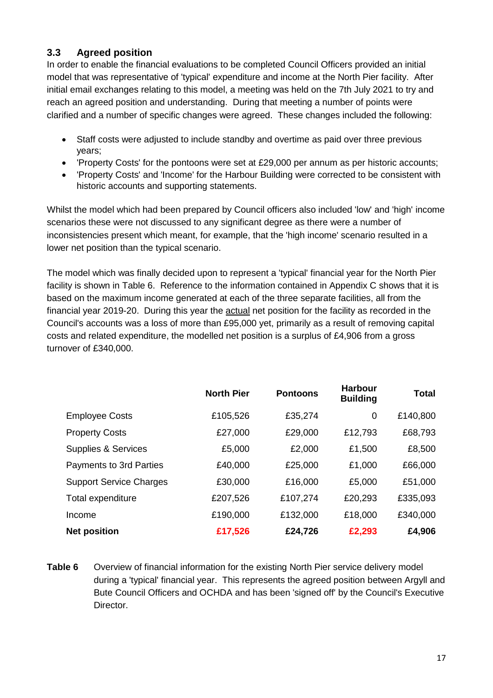## **3.3 Agreed position**

In order to enable the financial evaluations to be completed Council Officers provided an initial model that was representative of 'typical' expenditure and income at the North Pier facility. After initial email exchanges relating to this model, a meeting was held on the 7th July 2021 to try and reach an agreed position and understanding. During that meeting a number of points were clarified and a number of specific changes were agreed. These changes included the following:

- Staff costs were adjusted to include standby and overtime as paid over three previous years;
- 'Property Costs' for the pontoons were set at £29,000 per annum as per historic accounts;
- 'Property Costs' and 'Income' for the Harbour Building were corrected to be consistent with historic accounts and supporting statements.

Whilst the model which had been prepared by Council officers also included 'low' and 'high' income scenarios these were not discussed to any significant degree as there were a number of inconsistencies present which meant, for example, that the 'high income' scenario resulted in a lower net position than the typical scenario.

The model which was finally decided upon to represent a 'typical' financial year for the North Pier facility is shown in Table 6. Reference to the information contained in Appendix C shows that it is based on the maximum income generated at each of the three separate facilities, all from the financial year 2019-20. During this year the **actual** net position for the facility as recorded in the Council's accounts was a loss of more than £95,000 yet, primarily as a result of removing capital costs and related expenditure, the modelled net position is a surplus of £4,906 from a gross turnover of £340,000.

|                                | <b>North Pier</b> | <b>Pontoons</b> | <b>Harbour</b><br><b>Building</b> | <b>Total</b> |
|--------------------------------|-------------------|-----------------|-----------------------------------|--------------|
| <b>Employee Costs</b>          | £105,526          | £35,274         | 0                                 | £140,800     |
| <b>Property Costs</b>          | £27,000           | £29,000         | £12,793                           | £68,793      |
| <b>Supplies &amp; Services</b> | £5,000            | £2,000          | £1,500                            | £8,500       |
| Payments to 3rd Parties        | £40,000           | £25,000         | £1,000                            | £66,000      |
| <b>Support Service Charges</b> | £30,000           | £16,000         | £5,000                            | £51,000      |
| Total expenditure              | £207,526          | £107,274        | £20,293                           | £335,093     |
| Income                         | £190,000          | £132,000        | £18,000                           | £340,000     |
| <b>Net position</b>            | £17,526           | £24,726         | £2,293                            | £4,906       |

**Table 6** Overview of financial information for the existing North Pier service delivery model during a 'typical' financial year. This represents the agreed position between Argyll and Bute Council Officers and OCHDA and has been 'signed off' by the Council's Executive Director.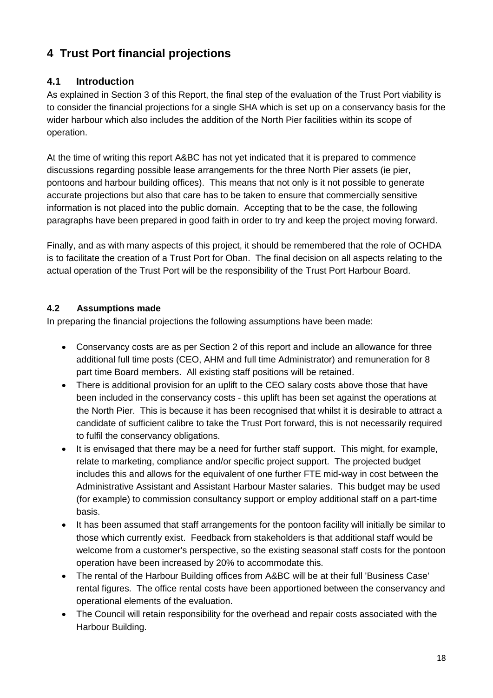# **4 Trust Port financial projections**

## **4.1 Introduction**

As explained in Section 3 of this Report, the final step of the evaluation of the Trust Port viability is to consider the financial projections for a single SHA which is set up on a conservancy basis for the wider harbour which also includes the addition of the North Pier facilities within its scope of operation.

At the time of writing this report A&BC has not yet indicated that it is prepared to commence discussions regarding possible lease arrangements for the three North Pier assets (ie pier, pontoons and harbour building offices). This means that not only is it not possible to generate accurate projections but also that care has to be taken to ensure that commercially sensitive information is not placed into the public domain. Accepting that to be the case, the following paragraphs have been prepared in good faith in order to try and keep the project moving forward.

Finally, and as with many aspects of this project, it should be remembered that the role of OCHDA is to facilitate the creation of a Trust Port for Oban. The final decision on all aspects relating to the actual operation of the Trust Port will be the responsibility of the Trust Port Harbour Board.

## **4.2 Assumptions made**

In preparing the financial projections the following assumptions have been made:

- Conservancy costs are as per Section 2 of this report and include an allowance for three additional full time posts (CEO, AHM and full time Administrator) and remuneration for 8 part time Board members. All existing staff positions will be retained.
- There is additional provision for an uplift to the CEO salary costs above those that have been included in the conservancy costs - this uplift has been set against the operations at the North Pier. This is because it has been recognised that whilst it is desirable to attract a candidate of sufficient calibre to take the Trust Port forward, this is not necessarily required to fulfil the conservancy obligations.
- It is envisaged that there may be a need for further staff support. This might, for example, relate to marketing, compliance and/or specific project support. The projected budget includes this and allows for the equivalent of one further FTE mid-way in cost between the Administrative Assistant and Assistant Harbour Master salaries. This budget may be used (for example) to commission consultancy support or employ additional staff on a part-time basis.
- It has been assumed that staff arrangements for the pontoon facility will initially be similar to those which currently exist. Feedback from stakeholders is that additional staff would be welcome from a customer's perspective, so the existing seasonal staff costs for the pontoon operation have been increased by 20% to accommodate this.
- The rental of the Harbour Building offices from A&BC will be at their full 'Business Case' rental figures. The office rental costs have been apportioned between the conservancy and operational elements of the evaluation.
- The Council will retain responsibility for the overhead and repair costs associated with the Harbour Building.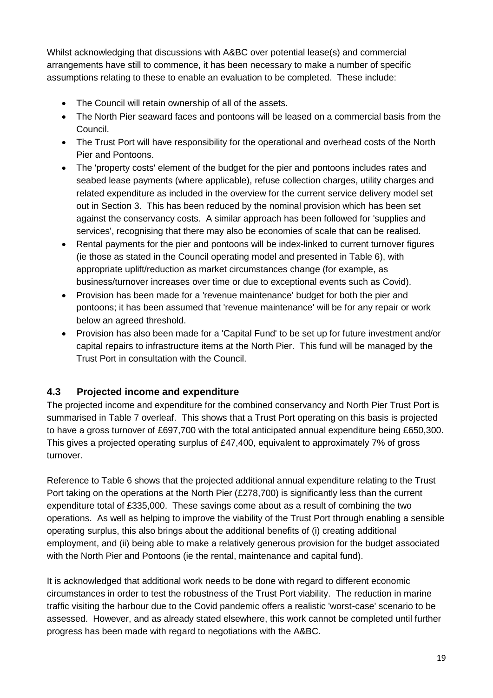Whilst acknowledging that discussions with A&BC over potential lease(s) and commercial arrangements have still to commence, it has been necessary to make a number of specific assumptions relating to these to enable an evaluation to be completed. These include:

- The Council will retain ownership of all of the assets.
- The North Pier seaward faces and pontoons will be leased on a commercial basis from the Council.
- The Trust Port will have responsibility for the operational and overhead costs of the North Pier and Pontoons.
- The 'property costs' element of the budget for the pier and pontoons includes rates and seabed lease payments (where applicable), refuse collection charges, utility charges and related expenditure as included in the overview for the current service delivery model set out in Section 3. This has been reduced by the nominal provision which has been set against the conservancy costs. A similar approach has been followed for 'supplies and services', recognising that there may also be economies of scale that can be realised.
- Rental payments for the pier and pontoons will be index-linked to current turnover figures (ie those as stated in the Council operating model and presented in Table 6), with appropriate uplift/reduction as market circumstances change (for example, as business/turnover increases over time or due to exceptional events such as Covid).
- Provision has been made for a 'revenue maintenance' budget for both the pier and pontoons; it has been assumed that 'revenue maintenance' will be for any repair or work below an agreed threshold.
- Provision has also been made for a 'Capital Fund' to be set up for future investment and/or capital repairs to infrastructure items at the North Pier. This fund will be managed by the Trust Port in consultation with the Council.

## **4.3 Projected income and expenditure**

The projected income and expenditure for the combined conservancy and North Pier Trust Port is summarised in Table 7 overleaf. This shows that a Trust Port operating on this basis is projected to have a gross turnover of £697,700 with the total anticipated annual expenditure being £650,300. This gives a projected operating surplus of £47,400, equivalent to approximately 7% of gross turnover.

Reference to Table 6 shows that the projected additional annual expenditure relating to the Trust Port taking on the operations at the North Pier (£278,700) is significantly less than the current expenditure total of £335,000. These savings come about as a result of combining the two operations. As well as helping to improve the viability of the Trust Port through enabling a sensible operating surplus, this also brings about the additional benefits of (i) creating additional employment, and (ii) being able to make a relatively generous provision for the budget associated with the North Pier and Pontoons (ie the rental, maintenance and capital fund).

It is acknowledged that additional work needs to be done with regard to different economic circumstances in order to test the robustness of the Trust Port viability. The reduction in marine traffic visiting the harbour due to the Covid pandemic offers a realistic 'worst-case' scenario to be assessed. However, and as already stated elsewhere, this work cannot be completed until further progress has been made with regard to negotiations with the A&BC.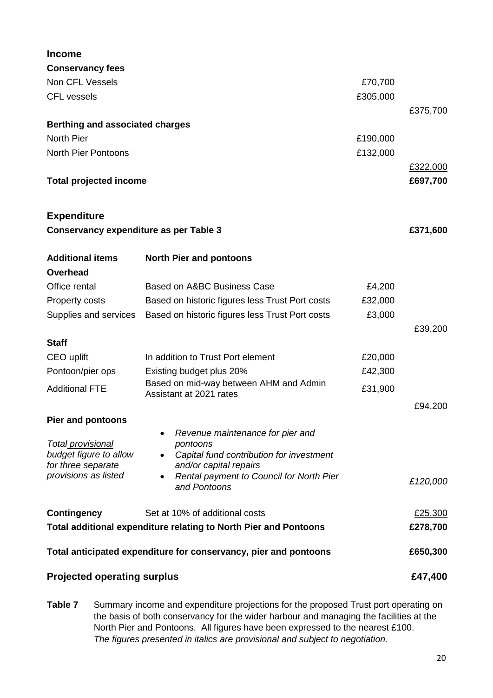| <b>Income</b>                                 |                                                                       |          |          |  |  |
|-----------------------------------------------|-----------------------------------------------------------------------|----------|----------|--|--|
| <b>Conservancy fees</b>                       |                                                                       |          |          |  |  |
| Non CFL Vessels                               |                                                                       | £70,700  |          |  |  |
| <b>CFL vessels</b>                            |                                                                       | £305,000 |          |  |  |
|                                               |                                                                       |          | £375,700 |  |  |
| <b>Berthing and associated charges</b>        |                                                                       |          |          |  |  |
| North Pier                                    |                                                                       | £190,000 |          |  |  |
| <b>North Pier Pontoons</b>                    |                                                                       | £132,000 |          |  |  |
|                                               |                                                                       |          | £322,000 |  |  |
| <b>Total projected income</b>                 |                                                                       |          | £697,700 |  |  |
| <b>Expenditure</b>                            |                                                                       |          |          |  |  |
| <b>Conservancy expenditure as per Table 3</b> |                                                                       |          | £371,600 |  |  |
| <b>Additional items</b>                       | <b>North Pier and pontoons</b>                                        |          |          |  |  |
| <b>Overhead</b>                               |                                                                       |          |          |  |  |
| Office rental                                 | Based on A&BC Business Case                                           | £4,200   |          |  |  |
| <b>Property costs</b>                         | Based on historic figures less Trust Port costs                       | £32,000  |          |  |  |
| Supplies and services                         | Based on historic figures less Trust Port costs                       | £3,000   |          |  |  |
|                                               |                                                                       |          | £39,200  |  |  |
| <b>Staff</b>                                  |                                                                       |          |          |  |  |
| CEO uplift                                    | In addition to Trust Port element                                     | £20,000  |          |  |  |
| Pontoon/pier ops                              | Existing budget plus 20%<br>Based on mid-way between AHM and Admin    | £42,300  |          |  |  |
| <b>Additional FTE</b>                         | Assistant at 2021 rates                                               | £31,900  |          |  |  |
|                                               |                                                                       |          | £94,200  |  |  |
| <b>Pier and pontoons</b>                      |                                                                       |          |          |  |  |
|                                               | Revenue maintenance for pier and                                      |          |          |  |  |
| Total provisional<br>budget figure to allow   | pontoons<br>Capital fund contribution for investment<br>$\bullet$     |          |          |  |  |
| for three separate                            | and/or capital repairs                                                |          |          |  |  |
| provisions as listed                          | Rental payment to Council for North Pier<br>$\bullet$<br>and Pontoons |          | £120,000 |  |  |
| <b>Contingency</b>                            | Set at 10% of additional costs                                        |          | £25,300  |  |  |
|                                               | Total additional expenditure relating to North Pier and Pontoons      |          |          |  |  |
|                                               | Total anticipated expenditure for conservancy, pier and pontoons      |          | £650,300 |  |  |
| <b>Projected operating surplus</b>            |                                                                       |          | £47,400  |  |  |

**Table 7** Summary income and expenditure projections for the proposed Trust port operating on the basis of both conservancy for the wider harbour and managing the facilities at the North Pier and Pontoons. All figures have been expressed to the nearest £100. *The figures presented in italics are provisional and subject to negotiation.*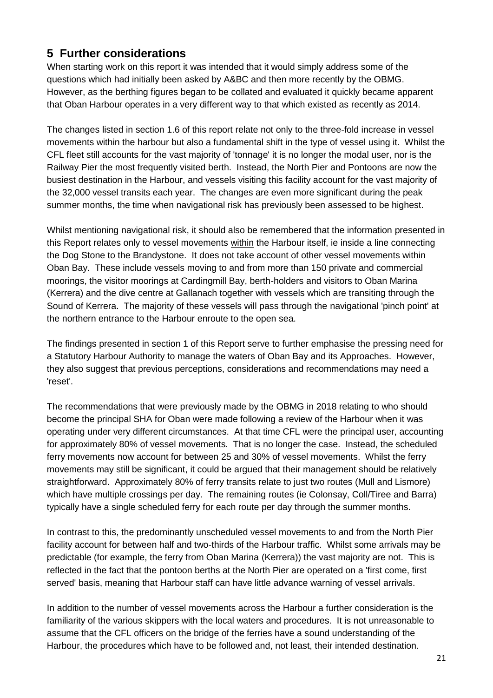# **5 Further considerations**

When starting work on this report it was intended that it would simply address some of the questions which had initially been asked by A&BC and then more recently by the OBMG. However, as the berthing figures began to be collated and evaluated it quickly became apparent that Oban Harbour operates in a very different way to that which existed as recently as 2014.

The changes listed in section 1.6 of this report relate not only to the three-fold increase in vessel movements within the harbour but also a fundamental shift in the type of vessel using it. Whilst the CFL fleet still accounts for the vast majority of 'tonnage' it is no longer the modal user, nor is the Railway Pier the most frequently visited berth. Instead, the North Pier and Pontoons are now the busiest destination in the Harbour, and vessels visiting this facility account for the vast majority of the 32,000 vessel transits each year. The changes are even more significant during the peak summer months, the time when navigational risk has previously been assessed to be highest.

Whilst mentioning navigational risk, it should also be remembered that the information presented in this Report relates only to vessel movements within the Harbour itself, ie inside a line connecting the Dog Stone to the Brandystone. It does not take account of other vessel movements within Oban Bay. These include vessels moving to and from more than 150 private and commercial moorings, the visitor moorings at Cardingmill Bay, berth-holders and visitors to Oban Marina (Kerrera) and the dive centre at Gallanach together with vessels which are transiting through the Sound of Kerrera. The majority of these vessels will pass through the navigational 'pinch point' at the northern entrance to the Harbour enroute to the open sea.

The findings presented in section 1 of this Report serve to further emphasise the pressing need for a Statutory Harbour Authority to manage the waters of Oban Bay and its Approaches. However, they also suggest that previous perceptions, considerations and recommendations may need a 'reset'.

The recommendations that were previously made by the OBMG in 2018 relating to who should become the principal SHA for Oban were made following a review of the Harbour when it was operating under very different circumstances. At that time CFL were the principal user, accounting for approximately 80% of vessel movements. That is no longer the case. Instead, the scheduled ferry movements now account for between 25 and 30% of vessel movements. Whilst the ferry movements may still be significant, it could be argued that their management should be relatively straightforward. Approximately 80% of ferry transits relate to just two routes (Mull and Lismore) which have multiple crossings per day. The remaining routes (ie Colonsay, Coll/Tiree and Barra) typically have a single scheduled ferry for each route per day through the summer months.

In contrast to this, the predominantly unscheduled vessel movements to and from the North Pier facility account for between half and two-thirds of the Harbour traffic. Whilst some arrivals may be predictable (for example, the ferry from Oban Marina (Kerrera)) the vast majority are not. This is reflected in the fact that the pontoon berths at the North Pier are operated on a 'first come, first served' basis, meaning that Harbour staff can have little advance warning of vessel arrivals.

In addition to the number of vessel movements across the Harbour a further consideration is the familiarity of the various skippers with the local waters and procedures. It is not unreasonable to assume that the CFL officers on the bridge of the ferries have a sound understanding of the Harbour, the procedures which have to be followed and, not least, their intended destination.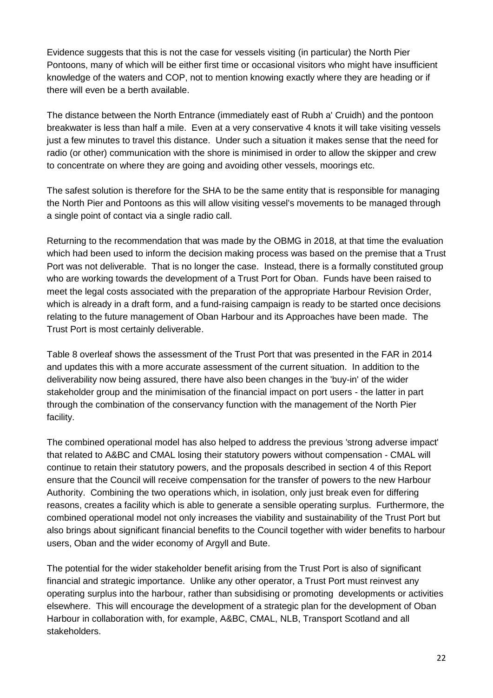Evidence suggests that this is not the case for vessels visiting (in particular) the North Pier Pontoons, many of which will be either first time or occasional visitors who might have insufficient knowledge of the waters and COP, not to mention knowing exactly where they are heading or if there will even be a berth available.

The distance between the North Entrance (immediately east of Rubh a' Cruidh) and the pontoon breakwater is less than half a mile. Even at a very conservative 4 knots it will take visiting vessels just a few minutes to travel this distance. Under such a situation it makes sense that the need for radio (or other) communication with the shore is minimised in order to allow the skipper and crew to concentrate on where they are going and avoiding other vessels, moorings etc.

The safest solution is therefore for the SHA to be the same entity that is responsible for managing the North Pier and Pontoons as this will allow visiting vessel's movements to be managed through a single point of contact via a single radio call.

Returning to the recommendation that was made by the OBMG in 2018, at that time the evaluation which had been used to inform the decision making process was based on the premise that a Trust Port was not deliverable. That is no longer the case. Instead, there is a formally constituted group who are working towards the development of a Trust Port for Oban. Funds have been raised to meet the legal costs associated with the preparation of the appropriate Harbour Revision Order, which is already in a draft form, and a fund-raising campaign is ready to be started once decisions relating to the future management of Oban Harbour and its Approaches have been made. The Trust Port is most certainly deliverable.

Table 8 overleaf shows the assessment of the Trust Port that was presented in the FAR in 2014 and updates this with a more accurate assessment of the current situation. In addition to the deliverability now being assured, there have also been changes in the 'buy-in' of the wider stakeholder group and the minimisation of the financial impact on port users - the latter in part through the combination of the conservancy function with the management of the North Pier facility.

The combined operational model has also helped to address the previous 'strong adverse impact' that related to A&BC and CMAL losing their statutory powers without compensation - CMAL will continue to retain their statutory powers, and the proposals described in section 4 of this Report ensure that the Council will receive compensation for the transfer of powers to the new Harbour Authority. Combining the two operations which, in isolation, only just break even for differing reasons, creates a facility which is able to generate a sensible operating surplus. Furthermore, the combined operational model not only increases the viability and sustainability of the Trust Port but also brings about significant financial benefits to the Council together with wider benefits to harbour users, Oban and the wider economy of Argyll and Bute.

The potential for the wider stakeholder benefit arising from the Trust Port is also of significant financial and strategic importance. Unlike any other operator, a Trust Port must reinvest any operating surplus into the harbour, rather than subsidising or promoting developments or activities elsewhere. This will encourage the development of a strategic plan for the development of Oban Harbour in collaboration with, for example, A&BC, CMAL, NLB, Transport Scotland and all stakeholders.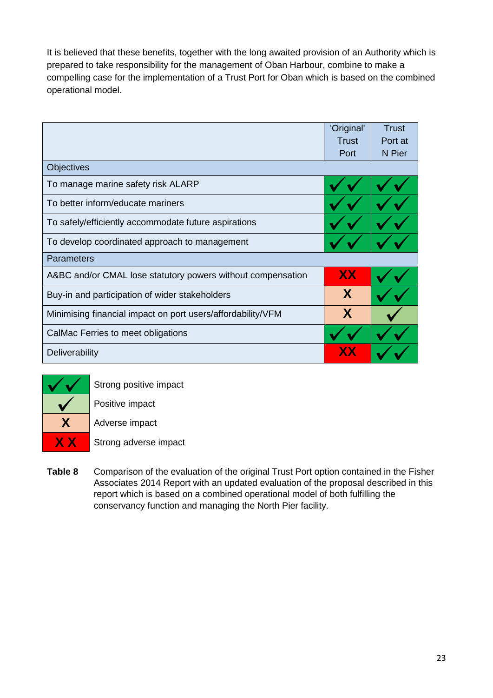It is believed that these benefits, together with the long awaited provision of an Authority which is prepared to take responsibility for the management of Oban Harbour, combine to make a compelling case for the implementation of a Trust Port for Oban which is based on the combined operational model.

|                                                             | 'Original' | Trust   |
|-------------------------------------------------------------|------------|---------|
|                                                             | Trust      | Port at |
|                                                             | Port       | N Pier  |
| <b>Objectives</b>                                           |            |         |
| To manage marine safety risk ALARP                          |            |         |
| To better inform/educate mariners                           |            |         |
| To safely/efficiently accommodate future aspirations        |            |         |
| To develop coordinated approach to management               |            |         |
| <b>Parameters</b>                                           |            |         |
| A&BC and/or CMAL lose statutory powers without compensation | <b>XX</b>  |         |
| Buy-in and participation of wider stakeholders              | X          |         |
| Minimising financial impact on port users/affordability/VFM | X          |         |
| CalMac Ferries to meet obligations                          |            |         |
| Deliverability                                              |            |         |



Strong positive impact

Positive impact

**X** Adverse impact

**X X** Strong adverse impact

**Table 8** Comparison of the evaluation of the original Trust Port option contained in the Fisher Associates 2014 Report with an updated evaluation of the proposal described in this report which is based on a combined operational model of both fulfilling the conservancy function and managing the North Pier facility.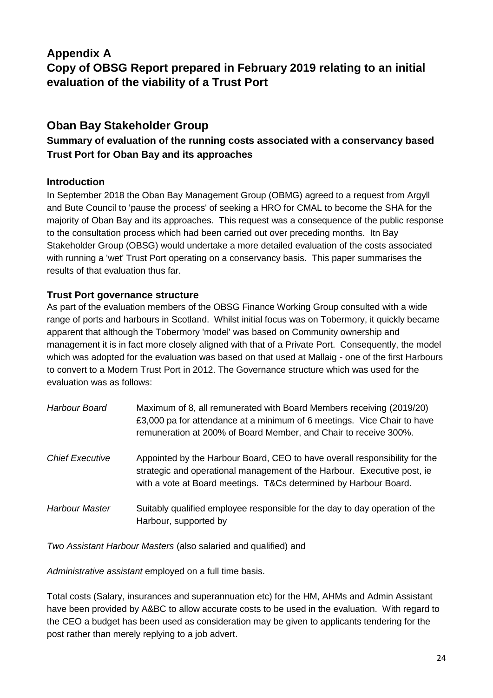# **Appendix A**

**Copy of OBSG Report prepared in February 2019 relating to an initial evaluation of the viability of a Trust Port**

# **Oban Bay Stakeholder Group**

## **Summary of evaluation of the running costs associated with a conservancy based Trust Port for Oban Bay and its approaches**

#### **Introduction**

In September 2018 the Oban Bay Management Group (OBMG) agreed to a request from Argyll and Bute Council to 'pause the process' of seeking a HRO for CMAL to become the SHA for the majority of Oban Bay and its approaches. This request was a consequence of the public response to the consultation process which had been carried out over preceding months. Itn Bay Stakeholder Group (OBSG) would undertake a more detailed evaluation of the costs associated with running a 'wet' Trust Port operating on a conservancy basis. This paper summarises the results of that evaluation thus far.

#### **Trust Port governance structure**

As part of the evaluation members of the OBSG Finance Working Group consulted with a wide range of ports and harbours in Scotland. Whilst initial focus was on Tobermory, it quickly became apparent that although the Tobermory 'model' was based on Community ownership and management it is in fact more closely aligned with that of a Private Port. Consequently, the model which was adopted for the evaluation was based on that used at Mallaig - one of the first Harbours to convert to a Modern Trust Port in 2012. The Governance structure which was used for the evaluation was as follows:

| Harbour Board          | Maximum of 8, all remunerated with Board Members receiving (2019/20)<br>£3,000 pa for attendance at a minimum of 6 meetings. Vice Chair to have<br>remuneration at 200% of Board Member, and Chair to receive 300%.       |
|------------------------|---------------------------------------------------------------------------------------------------------------------------------------------------------------------------------------------------------------------------|
| <b>Chief Executive</b> | Appointed by the Harbour Board, CEO to have overall responsibility for the<br>strategic and operational management of the Harbour. Executive post, ie<br>with a vote at Board meetings. T&Cs determined by Harbour Board. |
| <b>Harbour Master</b>  | Suitably qualified employee responsible for the day to day operation of the<br>Harbour, supported by                                                                                                                      |

*Two Assistant Harbour Masters* (also salaried and qualified) and

*Administrative assistant* employed on a full time basis.

Total costs (Salary, insurances and superannuation etc) for the HM, AHMs and Admin Assistant have been provided by A&BC to allow accurate costs to be used in the evaluation. With regard to the CEO a budget has been used as consideration may be given to applicants tendering for the post rather than merely replying to a job advert.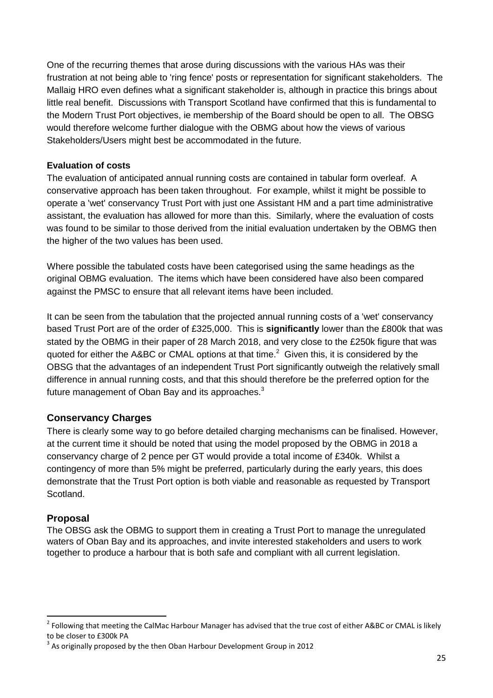One of the recurring themes that arose during discussions with the various HAs was their frustration at not being able to 'ring fence' posts or representation for significant stakeholders. The Mallaig HRO even defines what a significant stakeholder is, although in practice this brings about little real benefit. Discussions with Transport Scotland have confirmed that this is fundamental to the Modern Trust Port objectives, ie membership of the Board should be open to all. The OBSG would therefore welcome further dialogue with the OBMG about how the views of various Stakeholders/Users might best be accommodated in the future.

#### **Evaluation of costs**

The evaluation of anticipated annual running costs are contained in tabular form overleaf. A conservative approach has been taken throughout. For example, whilst it might be possible to operate a 'wet' conservancy Trust Port with just one Assistant HM and a part time administrative assistant, the evaluation has allowed for more than this. Similarly, where the evaluation of costs was found to be similar to those derived from the initial evaluation undertaken by the OBMG then the higher of the two values has been used.

Where possible the tabulated costs have been categorised using the same headings as the original OBMG evaluation. The items which have been considered have also been compared against the PMSC to ensure that all relevant items have been included.

It can be seen from the tabulation that the projected annual running costs of a 'wet' conservancy based Trust Port are of the order of £325,000. This is **significantly** lower than the £800k that was stated by the OBMG in their paper of 28 March 2018, and very close to the £250k figure that was quoted for either the A&BC or CMAL options at that time.<sup>2</sup> Given this, it is considered by the OBSG that the advantages of an independent Trust Port significantly outweigh the relatively small difference in annual running costs, and that this should therefore be the preferred option for the future management of Oban Bay and its approaches.<sup>3</sup>

#### **Conservancy Charges**

There is clearly some way to go before detailed charging mechanisms can be finalised. However, at the current time it should be noted that using the model proposed by the OBMG in 2018 a conservancy charge of 2 pence per GT would provide a total income of £340k. Whilst a contingency of more than 5% might be preferred, particularly during the early years, this does demonstrate that the Trust Port option is both viable and reasonable as requested by Transport Scotland.

#### **Proposal**

1

The OBSG ask the OBMG to support them in creating a Trust Port to manage the unregulated waters of Oban Bay and its approaches, and invite interested stakeholders and users to work together to produce a harbour that is both safe and compliant with all current legislation.

<sup>&</sup>lt;sup>2</sup> Following that meeting the CalMac Harbour Manager has advised that the true cost of either A&BC or CMAL is likely to be closer to £300k PA

 $3$  As originally proposed by the then Oban Harbour Development Group in 2012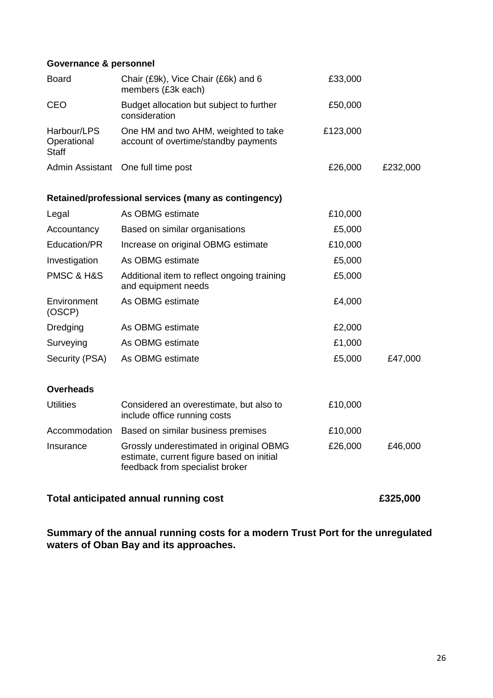#### **Governance & personnel**

| <b>Board</b>                               | Chair (£9k), Vice Chair (£6k) and 6<br>members (£3k each)                                                               | £33,000  |          |  |
|--------------------------------------------|-------------------------------------------------------------------------------------------------------------------------|----------|----------|--|
| <b>CEO</b>                                 | Budget allocation but subject to further<br>consideration                                                               | £50,000  |          |  |
| Harbour/LPS<br>Operational<br><b>Staff</b> | One HM and two AHM, weighted to take<br>account of overtime/standby payments                                            | £123,000 |          |  |
|                                            | Admin Assistant<br>One full time post<br>£26,000                                                                        |          |          |  |
|                                            | Retained/professional services (many as contingency)                                                                    |          |          |  |
| Legal                                      | As OBMG estimate                                                                                                        | £10,000  |          |  |
| Accountancy                                | Based on similar organisations                                                                                          | £5,000   |          |  |
| Education/PR                               | Increase on original OBMG estimate                                                                                      | £10,000  |          |  |
| Investigation                              | As OBMG estimate                                                                                                        | £5,000   |          |  |
| PMSC & H&S                                 | Additional item to reflect ongoing training<br>and equipment needs                                                      | £5,000   |          |  |
| Environment<br>(OSCP)                      | As OBMG estimate                                                                                                        | £4,000   |          |  |
| Dredging                                   | As OBMG estimate                                                                                                        | £2,000   |          |  |
| Surveying                                  | As OBMG estimate                                                                                                        | £1,000   |          |  |
| Security (PSA)                             | As OBMG estimate                                                                                                        | £5,000   | £47,000  |  |
| <b>Overheads</b>                           |                                                                                                                         |          |          |  |
| <b>Utilities</b>                           | Considered an overestimate, but also to<br>include office running costs                                                 | £10,000  |          |  |
| Accommodation                              | Based on similar business premises                                                                                      | £10,000  |          |  |
| Insurance                                  | Grossly underestimated in original OBMG<br>estimate, current figure based on initial<br>feedback from specialist broker | £26,000  | £46,000  |  |
|                                            | <b>Total anticipated annual running cost</b>                                                                            |          | £325,000 |  |

**Summary of the annual running costs for a modern Trust Port for the unregulated waters of Oban Bay and its approaches.**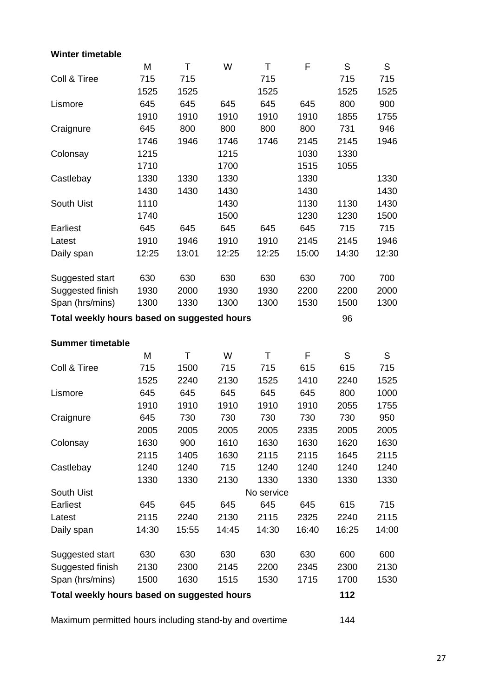### **Winter timetable**

|                                             | M     | T     | W     | T          | F     | S     | S     |
|---------------------------------------------|-------|-------|-------|------------|-------|-------|-------|
| Coll & Tiree                                | 715   | 715   |       | 715        |       | 715   | 715   |
|                                             | 1525  | 1525  |       | 1525       |       | 1525  | 1525  |
| Lismore                                     | 645   | 645   | 645   | 645        | 645   | 800   | 900   |
|                                             | 1910  | 1910  | 1910  | 1910       | 1910  | 1855  | 1755  |
| Craignure                                   | 645   | 800   | 800   | 800        | 800   | 731   | 946   |
|                                             | 1746  | 1946  | 1746  | 1746       | 2145  | 2145  | 1946  |
| Colonsay                                    | 1215  |       | 1215  |            | 1030  | 1330  |       |
|                                             | 1710  |       | 1700  |            | 1515  | 1055  |       |
| Castlebay                                   | 1330  | 1330  | 1330  |            | 1330  |       | 1330  |
|                                             | 1430  | 1430  | 1430  |            | 1430  |       | 1430  |
| South Uist                                  | 1110  |       | 1430  |            | 1130  | 1130  | 1430  |
|                                             | 1740  |       | 1500  |            | 1230  | 1230  | 1500  |
| <b>Earliest</b>                             | 645   | 645   | 645   | 645        | 645   | 715   | 715   |
| Latest                                      | 1910  | 1946  | 1910  | 1910       | 2145  | 2145  | 1946  |
| Daily span                                  | 12:25 | 13:01 | 12:25 | 12:25      | 15:00 | 14:30 | 12:30 |
|                                             |       |       |       |            |       |       |       |
| Suggested start                             | 630   | 630   | 630   | 630        | 630   | 700   | 700   |
| Suggested finish                            | 1930  | 2000  | 1930  | 1930       | 2200  | 2200  | 2000  |
| Span (hrs/mins)                             | 1300  | 1330  | 1300  | 1300       | 1530  | 1500  | 1300  |
| Total weekly hours based on suggested hours |       |       |       |            |       | 96    |       |
| <b>Summer timetable</b>                     |       |       |       |            |       |       |       |
|                                             | M     | T     | W     | Τ          | F     | S     | S     |
| Coll & Tiree                                | 715   | 1500  | 715   | 715        | 615   | 615   | 715   |
|                                             | 1525  | 2240  | 2130  | 1525       | 1410  | 2240  | 1525  |
| Lismore                                     | 645   | 645   | 645   | 645        | 645   | 800   | 1000  |
|                                             | 1910  | 1910  | 1910  | 1910       | 1910  | 2055  | 1755  |
| Craignure                                   | 645   | 730   | 730   | 730        | 730   | 730   | 950   |
|                                             | 2005  | 2005  | 2005  | 2005       | 2335  | 2005  | 2005  |
| Colonsay                                    | 1630  | 900   | 1610  | 1630       | 1630  | 1620  | 1630  |
|                                             | 2115  | 1405  | 1630  | 2115       | 2115  | 1645  | 2115  |
| Castlebay                                   | 1240  | 1240  | 715   | 1240       | 1240  | 1240  | 1240  |
|                                             | 1330  | 1330  | 2130  | 1330       | 1330  | 1330  | 1330  |
| South Uist                                  |       |       |       | No service |       |       |       |
| Earliest                                    | 645   | 645   | 645   | 645        | 645   | 615   | 715   |
| Latest                                      | 2115  | 2240  | 2130  | 2115       | 2325  | 2240  | 2115  |
| Daily span                                  | 14:30 | 15:55 | 14:45 | 14:30      | 16:40 | 16:25 | 14:00 |
| Suggested start                             | 630   | 630   | 630   | 630        | 630   | 600   | 600   |
| Suggested finish                            | 2130  | 2300  | 2145  | 2200       | 2345  | 2300  | 2130  |
| Span (hrs/mins)                             | 1500  | 1630  | 1515  | 1530       | 1715  | 1700  | 1530  |
|                                             |       |       |       |            |       |       |       |
| Total weekly hours based on suggested hours |       |       |       |            |       | 112   |       |

Maximum permitted hours including stand-by and overtime 144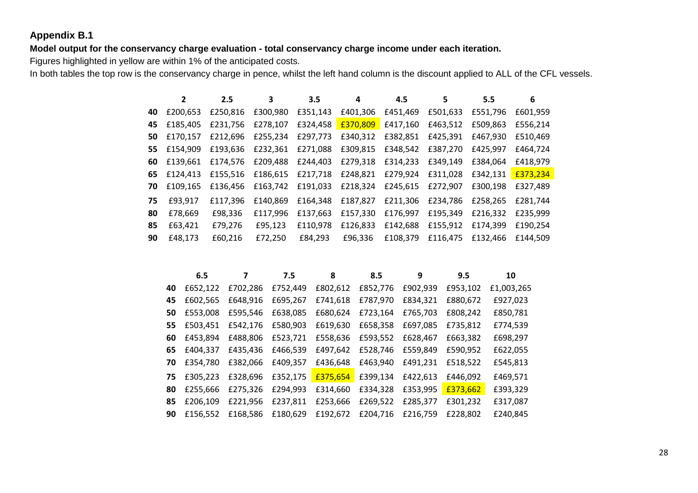#### **Appendix B.1**

**Model output for the conservancy charge evaluation - total conservancy charge income under each iteration.**

Figures highlighted in yellow are within 1% of the anticipated costs.

In both tables the top row is the conservancy charge in pence, whilst the left hand column is the discount applied to ALL of the CFL vessels.

|     |             | 2.5      |                                     | 3.5      | 4                                                              | 4.5               |          | 5.5               | 6        |
|-----|-------------|----------|-------------------------------------|----------|----------------------------------------------------------------|-------------------|----------|-------------------|----------|
| 40  | £200.653    |          |                                     |          | £250,816 £300,980 £351,143 £401,306 £451,469                   |                   | £501,633 | £551,796          | £601,959 |
| 45. | £185.405    | £231.756 | £278,107                            | £324,458 | £370,809 £417,160                                              |                   | £463.512 | £509.863          | £556.214 |
| 50  | £170.157    |          | £212,696 £255,234 £297,773 £340,312 |          |                                                                | £382,851          | £425,391 | £467,930          | £510.469 |
| 55  | £154,909    | £193.636 | £232,361                            |          | £271,088 £309,815                                              | £348,542          | £387,270 | £425,997          | £464.724 |
| 60  | £139.661    |          |                                     |          | £174,576 £209,488 £244,403 £279,318                            | £314,233 £349,149 |          | £384.064          | £418.979 |
|     | 65 £124.413 |          |                                     |          | £155,516 £186,615 £217,718 £248,821 £279,924 £311,028 £342,131 |                   |          |                   | £373.234 |
| 70  | £109.165    | £136,456 |                                     |          | £163,742 £191,033 £218,324 £245,615 £272,907                   |                   |          | £300,198          | £327.489 |
| 75  | £93.917     | £117.396 | £140.869                            | £164.348 | £187,827                                                       | £211,306          | £234,786 | £258.265          | £281.744 |
| 80  | £78.669     | £98,336  | £117.996                            | £137.663 | £157,330                                                       | £176,997          | £195,349 | £216.332          | £235.999 |
| 85  | £63,421     | £79,276  | £95,123                             | £110.978 | £126,833                                                       | £142,688          | £155,912 | £174.399          | £190.254 |
| 90  | £48,173     | £60,216  | £72,250                             | £84,293  | £96,336                                                        | £108,379          |          | £116,475 £132,466 | £144.509 |

|    | 6.5      |          | 7.5      | 8        | 8.5      | 9        | 9.5      | 10         |
|----|----------|----------|----------|----------|----------|----------|----------|------------|
| 40 | £652,122 | £702,286 | £752,449 | £802,612 | £852,776 | £902,939 | £953,102 | £1,003,265 |
| 45 | £602.565 | £648,916 | £695.267 | £741.618 | £787,970 | £834,321 | £880,672 | £927,023   |
| 50 | £553,008 | £595,546 | £638,085 | £680,624 | £723,164 | £765,703 | £808,242 | £850,781   |
| 55 | £503,451 | £542,176 | £580,903 | £619,630 | £658,358 | £697,085 | £735,812 | £774,539   |
| 60 | £453,894 | £488,806 | £523,721 | £558,636 | £593,552 | £628,467 | £663,382 | £698,297   |
| 65 | £404,337 | £435,436 | £466,539 | £497,642 | £528,746 | £559,849 | £590,952 | £622,055   |
| 70 | £354,780 | £382,066 | £409,357 | £436,648 | £463,940 | £491,231 | £518,522 | £545,813   |
| 75 | £305,223 | £328,696 | £352,175 | £375,654 | £399,134 | £422,613 | £446.092 | £469,571   |
| 80 | £255.666 | £275,326 | £294,993 | £314.660 | £334,328 | £353,995 | £373,662 | £393,329   |
| 85 | £206.109 | £221,956 | £237,811 | £253,666 | £269,522 | £285,377 | £301.232 | £317,087   |
| 90 | £156.552 | £168,586 | £180,629 | £192,672 | £204,716 | £216,759 | £228,802 | £240,845   |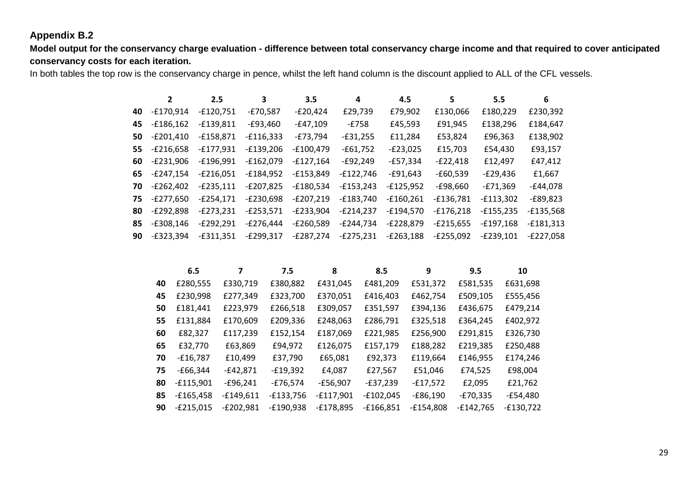#### **Appendix B.2**

**Model output for the conservancy charge evaluation - difference between total conservancy charge income and that required to cover anticipated conservancy costs for each iteration.**

In both tables the top row is the conservancy charge in pence, whilst the left hand column is the discount applied to ALL of the CFL vessels.

| $\overline{2}$ | 2.5         | 3           | 3.5         | 4           | 4.5         | 5           | 5.5         | 6           |
|----------------|-------------|-------------|-------------|-------------|-------------|-------------|-------------|-------------|
| -£170.914      | $-£120,751$ | $-E70,587$  | $-E20,424$  | £29,739     | £79,902     | £130,066    | £180,229    | £230,392    |
| $-£186,162$    | $-£139,811$ | $-£93,460$  | $-E47,109$  | -£758       | £45,593     | £91,945     | £138,296    | £184,647    |
| $-E201,410$    | $-£158,871$ | $-£116,333$ | $-E73,794$  | $-£31,255$  | £11,284     | £53,824     | £96,363     | £138,902    |
| $-E216,658$    | $-£177,931$ | $-£139,206$ | $-£100,479$ | $-£61,752$  | $-E23,025$  | £15,703     | £54,430     | £93,157     |
| $-E231,906$    | $-£196,991$ | $-£162,079$ | $-£127,164$ | $-E92,249$  | $-£57,334$  | $-E22,418$  | £12,497     | £47,412     |
| $-E247.154$    | $-E216,051$ | $-£184,952$ | $-£153,849$ | $-£122,746$ | $-£91,643$  | $-£60,539$  | $-E29,436$  | £1,667      |
| $-E262.402$    | $-E235.111$ | $-E207,825$ | $-£180,534$ | $-£153,243$ | $-f125,952$ | $-£98,660$  | $-E71,369$  | $-E44,078$  |
| $-E277.650$    | $-E254.171$ | $-E230.698$ | $-E207,219$ | $-£183,740$ | $-£160,261$ | $-£136,781$ | $-£113,302$ | $-E89,823$  |
| $-E292,898$    | $-E273,231$ | $-E253,571$ | $-E233,904$ | $-E214,237$ | $-£194,570$ | $-£176,218$ | $-£155,235$ | $-£135,568$ |
| $-£308,146$    | $-E292,291$ | $-E276,444$ | $-E260,589$ | $-E244,734$ | $-E228,879$ | $-E215,655$ | $-£197,168$ | $-£181,313$ |
| $-E323.394$    | $-£311.351$ | $-E299,317$ | -£287.274   | $-E275,231$ | $-E263.188$ | $-E255.092$ | -£239.101   | $-E227,058$ |
|                |             |             |             |             |             |             |             |             |

| 6.5         | 7           | 7.5         | 8           | 8.5         | 9           | 9.5         | 10          |
|-------------|-------------|-------------|-------------|-------------|-------------|-------------|-------------|
| £280,555    | £330,719    | £380,882    | £431,045    | £481,209    | £531,372    | £581,535    | £631,698    |
| £230,998    | £277,349    | £323,700    | £370,051    | £416,403    | £462,754    | £509,105    | £555,456    |
| £181,441    | £223,979    | £266,518    | £309,057    | £351,597    | £394,136    | £436,675    | £479,214    |
| £131,884    | £170,609    | £209,336    | £248,063    | £286,791    | £325,518    | £364,245    | £402,972    |
| £82,327     | £117,239    | £152,154    | £187,069    | £221,985    | £256,900    | £291,815    | £326,730    |
| £32,770     | £63,869     | £94,972     | £126,075    | £157,179    | £188,282    | £219,385    | £250,488    |
| $-£16,787$  | £10,499     | £37,790     | £65,081     | £92,373     | £119,664    | £146,955    | £174,246    |
| $-£66,344$  | $-£42,871$  | $-£19,392$  | £4,087      | £27,567     | £51,046     | £74,525     | £98,004     |
| $-£115,901$ | $-£96,241$  | $-£76,574$  | $-£56,907$  | $-E37,239$  | $-£17,572$  | £2,095      | £21,762     |
| $-£165,458$ | $-£149,611$ | $-£133,756$ | $-£117,901$ | $-£102,045$ | $-E86,190$  | $-E70,335$  | $-£54,480$  |
| $-E215,015$ | $-E202,981$ | $-E190,938$ | $-E178,895$ | $-£166,851$ | $-£154,808$ | $-£142,765$ | $-£130,722$ |
|             |             |             |             |             |             |             |             |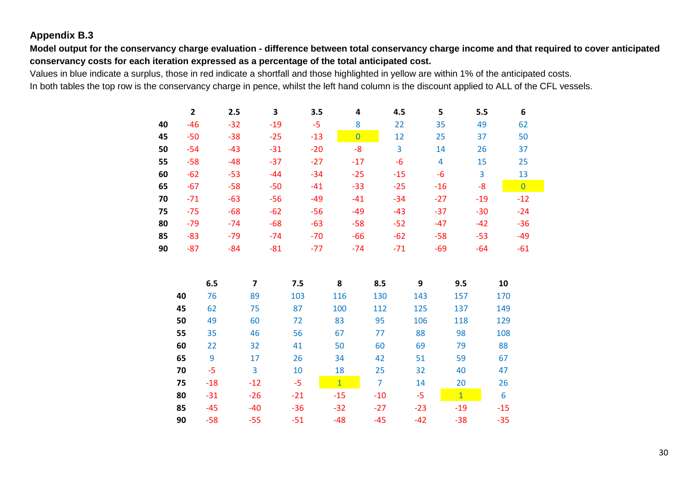### **Appendix B.3**

**Model output for the conservancy charge evaluation - difference between total conservancy charge income and that required to cover anticipated conservancy costs for each iteration expressed as a percentage of the total anticipated cost.**

Values in blue indicate a surplus, those in red indicate a shortfall and those highlighted in yellow are within 1% of the anticipated costs. In both tables the top row is the conservancy charge in pence, whilst the left hand column is the discount applied to ALL of the CFL vessels.

|    | $\overline{2}$ | 2.5   | 3     | 3.5   | 4              | 4.5   | 5     | 5.5   | 6              |
|----|----------------|-------|-------|-------|----------------|-------|-------|-------|----------------|
| 40 | $-46$          | $-32$ | $-19$ | -5    | 8              | 22    | 35    | 49    | 62             |
| 45 | $-50$          | $-38$ | $-25$ | $-13$ | $\overline{0}$ | 12    | 25    | 37    | 50             |
| 50 | $-54$          | $-43$ | $-31$ | $-20$ | -8             | 3     | 14    | 26    | 37             |
| 55 | $-58$          | $-48$ | $-37$ | $-27$ | $-17$          | -6    | 4     | 15    | 25             |
| 60 | $-62$          | $-53$ | $-44$ | $-34$ | $-25$          | $-15$ | -6    | 3     | 13             |
| 65 | $-67$          | $-58$ | $-50$ | $-41$ | $-33$          | $-25$ | $-16$ | -8    | $\overline{0}$ |
| 70 | $-71$          | $-63$ | $-56$ | $-49$ | $-41$          | $-34$ | $-27$ | $-19$ | $-12$          |
| 75 | $-75$          | $-68$ | $-62$ | $-56$ | $-49$          | $-43$ | $-37$ | $-30$ | $-24$          |
| 80 | $-79$          | $-74$ | $-68$ | $-63$ | $-58$          | $-52$ | $-47$ | $-42$ | $-36$          |
| 85 | $-83$          | $-79$ | $-74$ | $-70$ | $-66$          | $-62$ | $-58$ | $-53$ | $-49$          |
| 90 | $-87$          | -84   | $-81$ | $-77$ | $-74$          | $-71$ | $-69$ | $-64$ | $-61$          |

|    | 6.5   | 7     | 7.5   | 8              | 8.5   | 9     | 9.5          | 10    |
|----|-------|-------|-------|----------------|-------|-------|--------------|-------|
| 40 | 76    | 89    | 103   | 116            | 130   | 143   | 157          | 170   |
| 45 | 62    | 75    | 87    | 100            | 112   | 125   | 137          | 149   |
| 50 | 49    | 60    | 72    | 83             | 95    | 106   | 118          | 129   |
| 55 | 35    | 46    | 56    | 67             | 77    | 88    | 98           | 108   |
| 60 | 22    | 32    | 41    | 50             | 60    | 69    | 79           | 88    |
| 65 | 9     | 17    | 26    | 34             | 42    | 51    | 59           | 67    |
| 70 | -5    | 3     | 10    | 18             | 25    | 32    | 40           | 47    |
| 75 | $-18$ | $-12$ | $-5$  | $\overline{1}$ | 7     | 14    | 20           | 26    |
| 80 | $-31$ | $-26$ | $-21$ | $-15$          | $-10$ | $-5$  | $\mathbf{1}$ | 6     |
| 85 | $-45$ | $-40$ | $-36$ | $-32$          | $-27$ | $-23$ | $-19$        | $-15$ |
| 90 | $-58$ | $-55$ | $-51$ | $-48$          | $-45$ | $-42$ | $-38$        | $-35$ |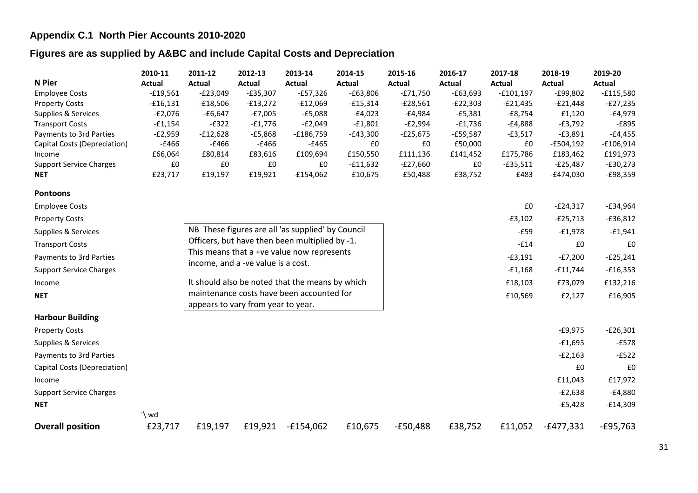#### **Appendix C.1 North Pier Accounts 2010-2020**

#### **Figures are as supplied by A&BC and include Capital Costs and Depreciation**

|                                | 2010-11    | 2011-12       | 2012-13                            | 2013-14                                           | 2014-15       | 2015-16    | 2016-17       | 2017-18       | 2018-19       | 2019-20     |
|--------------------------------|------------|---------------|------------------------------------|---------------------------------------------------|---------------|------------|---------------|---------------|---------------|-------------|
| <b>N</b> Pier                  | Actual     | <b>Actual</b> | <b>Actual</b>                      | <b>Actual</b>                                     | <b>Actual</b> | Actual     | <b>Actual</b> | <b>Actual</b> | <b>Actual</b> | Actual      |
| <b>Employee Costs</b>          | $-£19,561$ | $-E23,049$    | $-£35,307$                         | $-£57,326$                                        | $-£63,806$    | $-£71,750$ | $-£63,693$    | $-£101,197$   | $-£99,802$    | $-£115,580$ |
| <b>Property Costs</b>          | $-£16,131$ | $-£18,506$    | $-£13,272$                         | $-£12,069$                                        | $-£15,314$    | $-£28,561$ | $-E22,303$    | $-E21,435$    | $-E21,448$    | $-E27,235$  |
| Supplies & Services            | $-E2,076$  | $-£6,647$     | $-E7,005$                          | $-£5,088$                                         | $-£4,023$     | $-£4,984$  | $-£5,381$     | $-£8,754$     | £1,120        | $-£4,979$   |
| <b>Transport Costs</b>         | $-£1,154$  | $-E322$       | $-£1,776$                          | $-E2,049$                                         | $-£1,801$     | $-E2,994$  | $-£1,736$     | $-£4,888$     | $-E3,792$     | $-E895$     |
| Payments to 3rd Parties        | $-E2,959$  | $-£12,628$    | $-£5,868$                          | $-£186,759$                                       | $-E43,300$    | $-£25,675$ | $-£59,587$    | $-£3,517$     | $-£3,891$     | $-£4,455$   |
| Capital Costs (Depreciation)   | $-£466$    | $-£466$       | $-£466$                            | $-£465$                                           | £0            | £0         | £50,000       | £0            | $-£504,192$   | $-£106,914$ |
| Income                         | £66,064    | £80,814       | £83,616                            | £109,694                                          | £150,550      | £111,136   | £141,452      | £175,786      | £183,462      | £191,973    |
| <b>Support Service Charges</b> | £0         | £0            | £0                                 | £0                                                | $-£11,632$    | $-E27,660$ | £0            | $-£35,511$    | $-E25,487$    | $-£30,273$  |
| <b>NET</b>                     | £23,717    | £19,197       | £19,921                            | $-£154,062$                                       | £10,675       | $-£50,488$ | £38,752       | £483          | $-E474,030$   | $-£98,359$  |
| <b>Pontoons</b>                |            |               |                                    |                                                   |               |            |               |               |               |             |
| <b>Employee Costs</b>          |            |               |                                    |                                                   |               |            |               | £0            | $-E24,317$    | $-£34,964$  |
| <b>Property Costs</b>          |            |               |                                    |                                                   |               |            |               | $-£3,102$     | $-E25,713$    | $-£36,812$  |
| Supplies & Services            |            |               |                                    | NB These figures are all 'as supplied' by Council |               |            |               | $-E59$        | $-£1,978$     | $-£1,941$   |
| <b>Transport Costs</b>         |            |               |                                    | Officers, but have then been multiplied by -1.    |               |            |               | $-E14$        | £0            | £0          |
| Payments to 3rd Parties        |            |               | income, and a -ve value is a cost. | This means that a +ve value now represents        |               |            |               | $-£3,191$     | $-E7,200$     | $-£25,241$  |
| <b>Support Service Charges</b> |            |               |                                    |                                                   |               |            |               | $-£1,168$     | $-£11,744$    | $-£16,353$  |
| Income                         |            |               |                                    | It should also be noted that the means by which   |               |            |               | £18,103       | £73,079       | £132,216    |
| <b>NET</b>                     |            |               |                                    | maintenance costs have been accounted for         |               |            |               | £10,569       | £2,127        | £16,905     |
|                                |            |               | appears to vary from year to year. |                                                   |               |            |               |               |               |             |
| <b>Harbour Building</b>        |            |               |                                    |                                                   |               |            |               |               |               |             |
| <b>Property Costs</b>          |            |               |                                    |                                                   |               |            |               |               | $-£9,975$     | $-£26,301$  |
| Supplies & Services            |            |               |                                    |                                                   |               |            |               |               | $-£1,695$     | $-E578$     |
| Payments to 3rd Parties        |            |               |                                    |                                                   |               |            |               |               | $-E2,163$     | $-E522$     |
| Capital Costs (Depreciation)   |            |               |                                    |                                                   |               |            |               |               | £0            | £0          |
| Income                         |            |               |                                    |                                                   |               |            |               |               | £11,043       | £17,972     |
| <b>Support Service Charges</b> |            |               |                                    |                                                   |               |            |               |               | $-E2,638$     | $-£4,880$   |
| <b>NET</b>                     |            |               |                                    |                                                   |               |            |               |               | $-E5,428$     | $-£14,309$  |
|                                | '\ wd      |               |                                    |                                                   |               |            |               |               |               |             |
| <b>Overall position</b>        | £23,717    | £19,197       | £19,921                            | $-£154,062$                                       | £10,675       | $-£50,488$ | £38,752       | £11,052       | $-£477,331$   | $-E95,763$  |